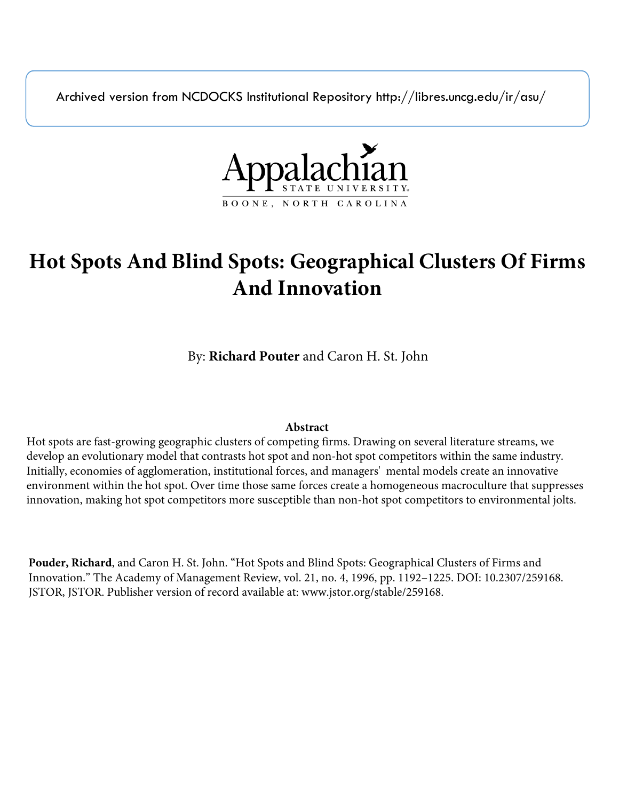Archived version from NCDOCKS Institutional Repository http://libres.uncg.edu/ir/asu/



# **Hot Spots And Blind Spots: Geographical Clusters Of Firms And Innovation**

By: **Richard Pouter** and Caron H. St. John

### **Abstract**

Hot spots are fast-growing geographic clusters of competing firms. Drawing on several literature streams, we develop an evolutionary model that contrasts hot spot and non-hot spot competitors within the same industry. Initially, economies of agglomeration, institutional forces, and managers' mental models create an innovative environment within the hot spot. Over time those same forces create a homogeneous macroculture that suppresses innovation, making hot spot competitors more susceptible than non-hot spot competitors to environmental jolts.

**Pouder, Richard**, and Caron H. St. John. "Hot Spots and Blind Spots: Geographical Clusters of Firms and Innovation." The Academy of Management Review, vol. 21, no. 4, 1996, pp. 1192–1225. DOI: 10.2307/259168. JSTOR, JSTOR. Publisher version of record available at: www.jstor.org/stable/259168.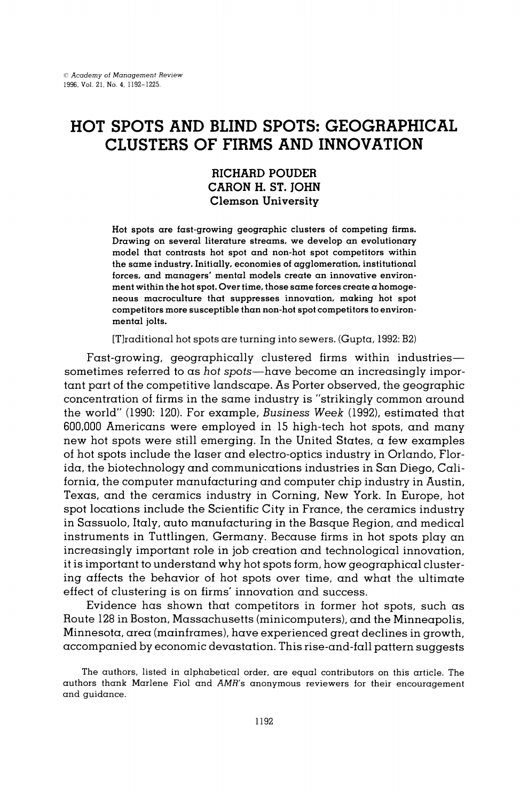## HOT SPOTS AND BLIND SPOTS: GEOGRAPHICAL CLUSTERS OF FIRMS AND INNOVATION

### RICHARD POUDER CARON H. ST. JOHN Clemson University

 Hot spots are fast-growing geographic clusters of competing firms. Drawing on several literature streams, we develop an evolutionary model that contrasts hot spot and non-hot spot competitors within the same industry. Initially, economies of agglomeration, institutional forces, and managers' mental models create an innovative environ ment within the hot spot. Over time, those same forces create a homoge neous macroculture that suppresses innovation, making hot spot competitors more susceptible than non-hot spot competitors to environ mental jolts.

[T]raditional hot spots are turning into sewers. (Gupta, 1992: B2)

Fast-growing, geographically clustered firms within industriessometimes referred to as hot spots-have become an increasingly impor tant part of the competitive landscape. As Porter observed, the geographic concentration of firms in the same industry is "strikingly common around the world" (1990: 120). For example, Business Week (1992), estimated that 600,000 Americans were employed in 15 high-tech hot spots, and many new hot spots were still emerging. In the United States, a few examples of hot spots include the laser and electro-optics industry in Orlando, Flor ida, the biotechnology and communications industries in San Diego, Cali fornia, the computer manufacturing and computer chip industry in Austin, Texas, and the ceramics industry in Corning, New York. In Europe, hot spot locations include the Scientific City in France, the ceramics industry in Sassuolo, Italy, auto manufacturing in the Basque Region, and medical instruments in Tuttlingen, Germany. Because firms in hot spots play an increasingly important role in job creation and technological innovation, it is important to understand why hot spots form, how geographical cluster ing affects the behavior of hot spots over time, and what the ultimate effect of clustering is on firms' innovation and success.

 Evidence has shown that competitors in former hot spots, such as Route 128 in Boston, Massachusetts (minicomputers), and the Minneapolis, Minnesota, area (mainframes), have experienced great declines in growth, accompanied by economic devastation. This rise-and-fall pattern suggests

 The authors, listed in alphabetical order, are equal contributors on this article. The authors thank Marlene Fiol and AMR's anonymous reviewers for their encouragement and guidance.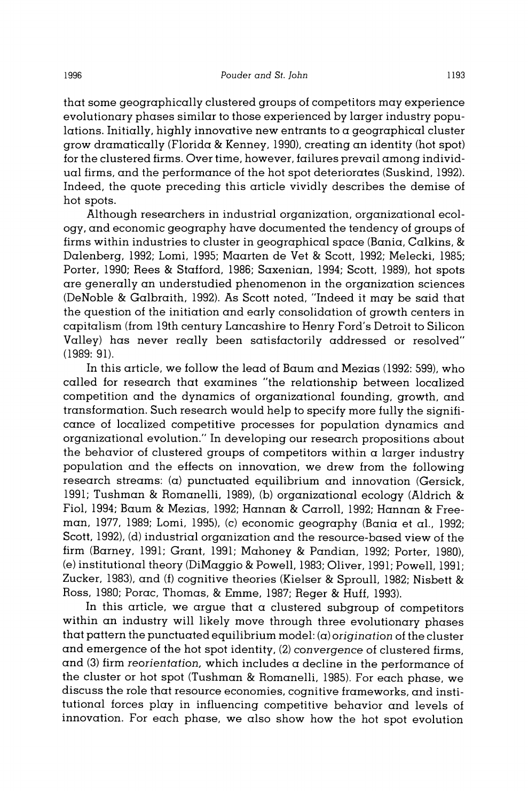that some geographically clustered groups of competitors may experience evolutionary phases similar to those experienced by larger industry popu lations. Initially, highly innovative new entrants to a geographical cluster grow dramatically (Florida & Kenney, 1990), creating an identity (hot spot) for the clustered firms. Over time, however, failures prevail among individ ual firms, and the performance of the hot spot deteriorates (Suskind, 1992). Indeed, the quote preceding this article vividly describes the demise of hot spots.

 Although researchers in industrial organization, organizational ecol ogy, and economic geography have documented the tendency of groups of firms within industries to cluster in geographical space (Bania, Calkins, & Dalenberg, 1992; Lomi, 1995; Maarten de Vet & Scott, 1992; Melecki, 1985; Porter, 1990; Rees & Stafford, 1986; Saxenian, 1994; Scott, 1989), hot spots are generally an understudied phenomenon in the organization sciences (DeNoble & Galbraith, 1992). As Scott noted, "Indeed it may be said that the question of the initiation and early consolidation of growth centers in capitalism (from 19th century Lancashire to Henry Ford's Detroit to Silicon Valley) has never really been satisfactorily addressed or resolved" (1989: 91).

 In this article, we follow the lead of Baum and Mezias (1992: 599), who called for research that examines "the relationship between localized competition and the dynamics of organizational founding, growth, and transformation. Such research would help to specify more fully the signifi cance of localized competitive processes for population dynamics and organizational evolution." In developing our research propositions about the behavior of clustered groups of competitors within  $\alpha$  larger industry population and the effects on innovation, we drew from the following research streams:  $(a)$  punctuated equilibrium and innovation (Gersick, 1991; Tushman & Romanelli, 1989), (b) organizational ecology (Aldrich & Fiol, 1994; Baum & Mezias, 1992; Hannan & Carroll, 1992; Hannan & Free man, 1977, 1989; Lomi, 1995), (c) economic geography (Bania et al., 1992; Scott, 1992), (d) industrial organization and the resource-based view of the firm (Barney, 1991; Grant, 1991; Mahoney & Pandian, 1992; Porter, 1980), (e) institutional theory (DiMaggio & Powell, 1983; Oliver, 1991; Powell, 1991; Zucker, 1983), and (f) cognitive theories (Kielser & Sproull, 1982; Nisbett & Ross, 1980; Porac, Thomas, & Emme, 1987; Reger & Huff, 1993).

In this article, we argue that a clustered subgroup of competitors within an industry will likely move through three evolutionary phases that pattern the punctuated equilibrium model:  $(a)$  origination of the cluster and emergence of the hot spot identity, (2) convergence of clustered firms, and (3) firm reorientation, which includes a decline in the performance of the cluster or hot spot (Tushman & Romanelli, 1985). For each phase, we discuss the role that resource economies, cognitive frameworks, and insti tutional forces play in influencing competitive behavior and levels of innovation. For each phase, we also show how the hot spot evolution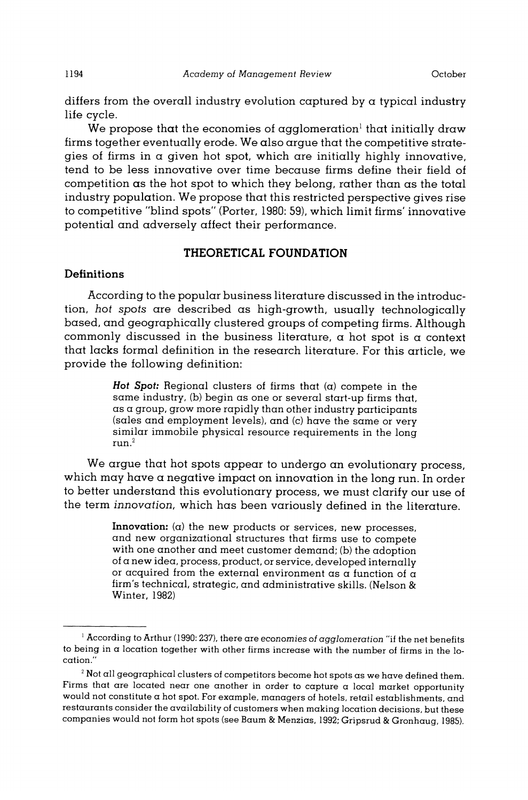differs from the overall industry evolution captured by a typical industry life cycle.

We propose that the economies of agglomeration<sup>1</sup> that initially draw firms together eventually erode. We also argue that the competitive strate gies of firms in  $\alpha$  given hot spot, which are initially highly innovative, tend to be less innovative over time because firms define their field of competition as the hot spot to which they belong, rather than as the total industry population. We propose that this restricted perspective gives rise to competitive "blind spots" (Porter, 1980: 59), which limit firms' innovative potential and adversely affect their performance.

### THEORETICAL FOUNDATION

### Definitions

 According to the popular business literature discussed in the introduc tion, hot spots are described as high-growth, usually technologically based, and geographically clustered groups of competing firms. Although commonly discussed in the business literature,  $\alpha$  hot spot is  $\alpha$  context that lacks formal definition in the research literature. For this article, we provide the following definition:

> Hot Spot: Regional clusters of firms that  $(a)$  compete in the same industry, (b) begin as one or several start-up firms that, as a group, grow more rapidly than other industry participants (sales and employment levels), and (c) have the same or very similar immobile physical resource requirements in the long run.2

 We argue that hot spots appear to undergo an evolutionary process, which may have a negative impact on innovation in the long run. In order to better understand this evolutionary process, we must clarify our use of the term innovation, which has been variously defined in the literature.

> Innovation:  $(a)$  the new products or services, new processes, and new organizational structures that firms use to compete with one another and meet customer demand; (b) the adoption of a new idea, process, product, or service, developed internally or acquired from the external environment as a function of  $\alpha$  firm's technical, strategic, and administrative skills. (Nelson & Winter, 1982)

 $^{\rm I}$  According to Arthur (1990: 237), there are economies of agglomeration "if the net benefits to being in a location together with other firms increase with the number of firms in the lo cation."

 $^{\text{2}}$  Not all geographical clusters of competitors become hot spots as we have defined them. Firms that are located near one another in order to capture a local market opportunity would not constitute  $\alpha$  hot spot. For example, managers of hotels, retail establishments, and restaurants consider the availability of customers when making location decisions, but these companies would not form hot spots (see Baum & Menzias, 1992; Gripsrud & Gronhaug, 1985).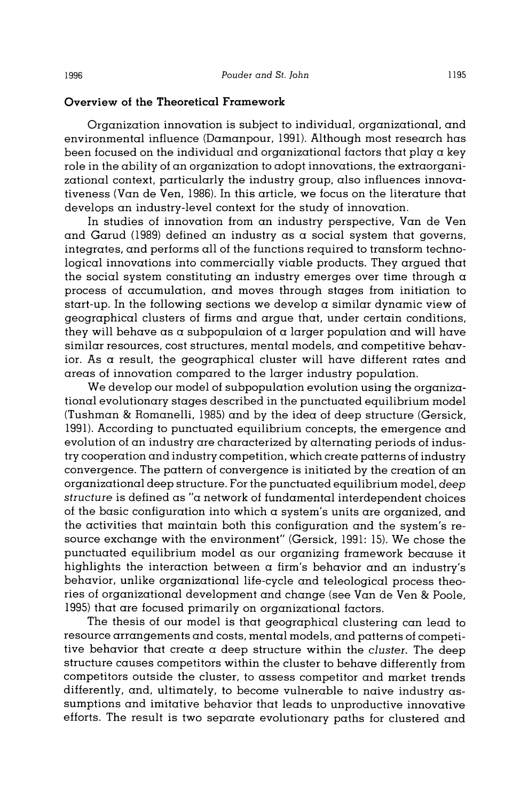### Overview of the Theoretical Framework

 Organization innovation is subject to individual, organizational, and environmental influence (Damanpour, 1991). Although most research has been focused on the individual and organizational factors that play a key role in the ability of an organization to adopt innovations, the extraorgani zational context, particularly the industry group, also influences innova tiveness (Van de Ven, 1986). In this article, we focus on the literature that develops an industry-level context for the study of innovation.

 In studies of innovation from an industry perspective, Van de Ven and Garud (1989) defined an industry as a social system that governs, integrates, and performs all of the functions required to transform techno logical innovations into commercially viable products. They argued that the social system constituting an industry emerges over time through  $\alpha$  process of accumulation, and moves through stages from initiation to start-up. In the following sections we develop a similar dynamic view of geographical clusters of firms and argue that, under certain conditions, they will behave as a subpopulaion of a larger population and will have similar resources, cost structures, mental models, and competitive behav ior. As a result, the geographical cluster will have different rates and areas of innovation compared to the larger industry population.

 We develop our model of subpopulation evolution using the organiza tional evolutionary stages described in the punctuated equilibrium model (Tushman & Romanelli, 1985) and by the idea of deep structure (Gersick, 1991). According to punctuated equilibrium concepts, the emergence and evolution of an industry are characterized by alternating periods of indus try cooperation and industry competition, which create patterns of industry convergence. The pattern of convergence is initiated by the creation of an organizational deep structure. For the punctuated equilibrium model, deep structure is defined as "a network of fundamental interdependent choices of the basic configuration into which a system's units are organized, and the activities that maintain both this configuration and the system's re source exchange with the environment" (Gersick, 1991: 15). We chose the punctuated equilibrium model as our organizing framework because it highlights the interaction between a firm's behavior and an industry's behavior, unlike organizational life-cycle and teleological process theo ries of organizational development and change (see Van de Ven & Poole, 1995) that are focused primarily on organizational factors.

 The thesis of our model is that geographical clustering can lead to resource arrangements and costs, mental models, and patterns of competi tive behavior that create a deep structure within the cluster. The deep structure causes competitors within the cluster to behave differently from competitors outside the cluster, to assess competitor and market trends differently, and, ultimately, to become vulnerable to naive industry as sumptions and imitative behavior that leads to unproductive innovative efforts. The result is two separate evolutionary paths for clustered and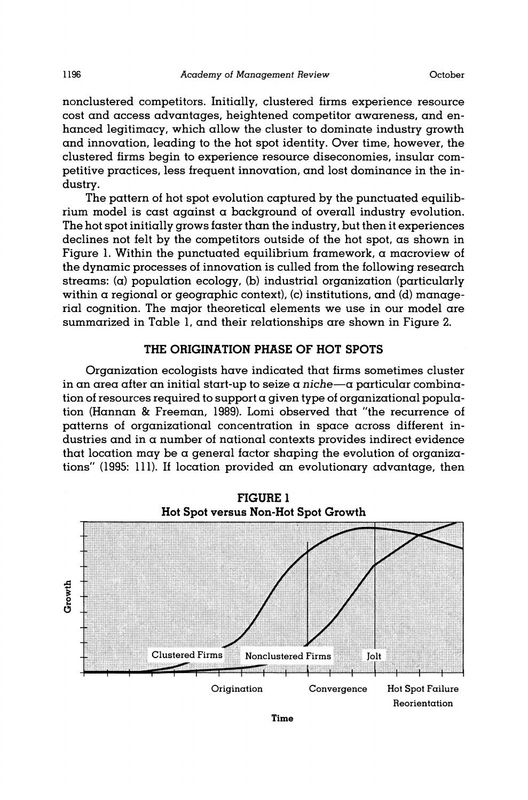nonclustered competitors. Initially, clustered firms experience resource cost and access advantages, heightened competitor awareness, and en hanced legitimacy, which allow the cluster to dominate industry growth and innovation, leading to the hot spot identity. Over time, however, the clustered firms begin to experience resource diseconomies, insular com petitive practices, less frequent innovation, and lost dominance in the in dustry.

 The pattern of hot spot evolution captured by the punctuated equilib rium model is cast against a background of overall industry evolution. The hot spot initially grows faster than the industry, but then it experiences declines not felt by the competitors outside of the hot spot, as shown in Figure 1. Within the punctuated equilibrium framework, a macroview of the dynamic processes of innovation is culled from the following research streams: (a) population ecology, (b) industrial organization (particularly within a regional or geographic context), (c) institutions, and (d) manage rial cognition. The major theoretical elements we use in our model are summarized in Table 1, and their relationships are shown in Figure 2.

### THE ORIGINATION PHASE OF HOT SPOTS

 Organization ecologists have indicated that firms sometimes cluster in an area after an initial start-up to seize a niche-a particular combina tion of resources required to support a given type of organizational popula tion (Hannan & Freeman, 1989). Lomi observed that "the recurrence of patterns of organizational concentration in space across different in dustries and in a number of national contexts provides indirect evidence that location may be a general factor shaping the evolution of organiza tions" (1995: 111). If location provided an evolutionary advantage, then

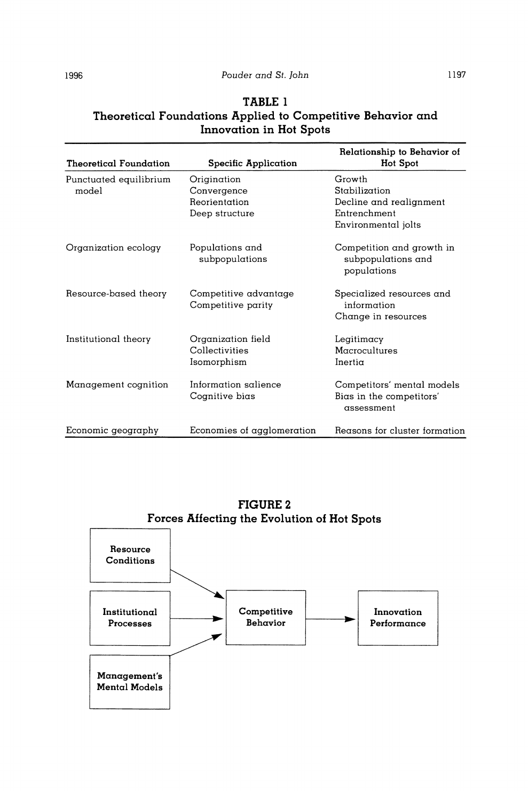### TABLE 1 Theoretical Foundations Applied to Competitive Behavior and Innovation in Hot Spots

| Theoretical Foundation          | Specific Application                                          | Relationship to Behavior of<br>Hot Spot                                                   |
|---------------------------------|---------------------------------------------------------------|-------------------------------------------------------------------------------------------|
| Punctuated equilibrium<br>model | Origination<br>Convergence<br>Reorientation<br>Deep structure | Growth<br>Stabilization<br>Decline and realignment<br>Entrenchment<br>Environmental jolts |
| Organization ecology            | Populations and<br>subpopulations                             | Competition and growth in<br>subpopulations and<br>populations                            |
| Resource-based theory           | Competitive advantage<br>Competitive parity                   | Specialized resources and<br>information<br>Change in resources                           |
| Institutional theory            | Organization field<br>Collectivities<br>Isomorphism           | Legitimacy<br>Macrocultures<br>Inertia                                                    |
| Management cognition            | Information salience<br>Cognitive bias                        | Competitors' mental models<br>Bias in the competitors'<br>assessment                      |
| Economic geography              | Economies of agglomeration                                    | Reasons for cluster formation                                                             |

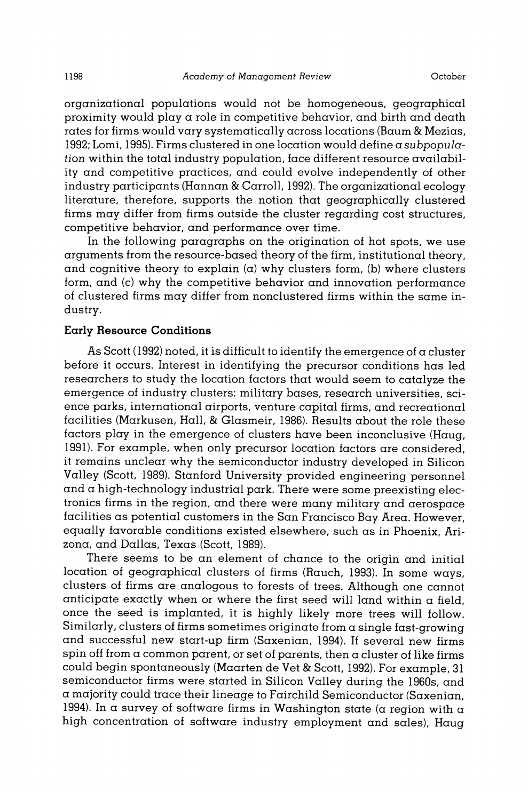organizational populations would not be homogeneous, geographical proximity would play a role in competitive behavior, and birth and death rates for firms would vary systematically across locations (Baum & Mezias, 1992; Lomi, 1995). Firms clustered in one location would define a subpopula tion within the total industry population, face different resource availabil ity and competitive practices, and could evolve independently of other industry participants (Hannan & Carroll, 1992). The organizational ecology literature, therefore, supports the notion that geographically clustered firms may differ from firms outside the cluster regarding cost structures, competitive behavior, and performance over time.

 In the following paragraphs on the origination of hot spots, we use arguments from the resource-based theory of the firm, institutional theory, and cognitive theory to explain  $(a)$  why clusters form, (b) where clusters form, and (c) why the competitive behavior and innovation performance of clustered firms may differ from nonclustered firms within the same in dustry.

#### Early Resource Conditions

As Scott (1992) noted, it is difficult to identify the emergence of  $\alpha$  cluster before it occurs. Interest in identifying the precursor conditions has led researchers to study the location factors that would seem to catalyze the emergence of industry clusters: military bases, research universities, sci ence parks, international airports, venture capital firms, and recreational facilities (Markusen, Hall, & Glasmeir, 1986). Results about the role these factors play in the emergence of clusters have been inconclusive (Haug, 1991). For example, when only precursor location factors are considered, it remains unclear why the semiconductor industry developed in Silicon Valley (Scott, 1989). Stanford University provided engineering personnel and a high-technology industrial park. There were some preexisting elec tronics firms in the region, and there were many military and aerospace facilities as potential customers in the San Francisco Bay Area. However, equally favorable conditions existed elsewhere, such as in Phoenix, Ari zona, and Dallas, Texas (Scott, 1989).

 There seems to be an element of chance to the origin and initial location of geographical clusters of firms (Rauch, 1993). In some ways, clusters of firms are analogous to forests of trees. Although one cannot anticipate exactly when or where the first seed will land within  $\alpha$  field, once the seed is implanted, it is highly likely more trees will follow. Similarly, clusters of firms sometimes originate from a single fast-growing and successful new start-up firm (Saxenian, 1994). If several new firms spin off from  $\alpha$  common parent, or set of parents, then  $\alpha$  cluster of like firms could begin spontaneously (Maarten de Vet & Scott, 1992). For example, 31 semiconductor firms were started in Silicon Valley during the 1960s, and a majority could trace their lineage to Fairchild Semiconductor (Saxenian, 1994). In a survey of software firms in Washington state (a region with a high concentration of software industry employment and sales), Haug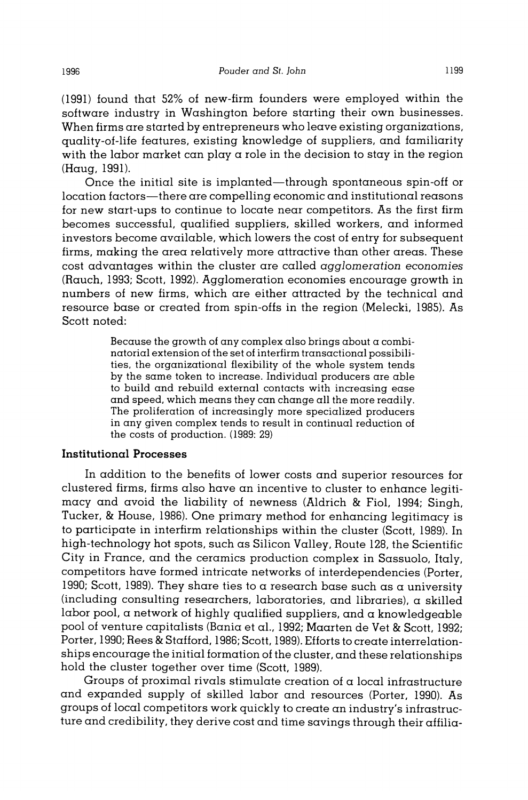(1991) found that 52% of new-firm founders were employed within the software industry in Washington before starting their own businesses. When firms are started by entrepreneurs who leave existing organizations, quality-of-life features, existing knowledge of suppliers, and familiarity with the labor market can play a role in the decision to stay in the region (Haug, 1991).

Once the initial site is implanted-through spontaneous spin-off or location factors—there are compelling economic and institutional reasons for new start-ups to continue to locate near competitors. As the first firm becomes successful, qualified suppliers, skilled workers, and informed investors become available, which lowers the cost of entry for subsequent firms, making the area relatively more attractive than other areas. These cost advantages within the cluster are called agglomeration economies (Rauch, 1993; Scott, 1992). Agglomeration economies encourage growth in numbers of new firms, which are either attracted by the technical and resource base or created from spin-offs in the region (Melecki, 1985). As Scott noted:

> Because the growth of any complex also brings about a combi natorial extension of the set of interfirm transactional possibili ties, the organizational flexibility of the whole system tends by the same token to increase. Individual producers are able to build and rebuild external contacts with increasing ease and speed, which means they can change all the more readily. The proliferation of increasingly more specialized producers in any given complex tends to result in continual reduction of the costs of production. (1989: 29)

#### Institutional Processes

 In addition to the benefits of lower costs and superior resources for clustered firms, firms also have an incentive to cluster to enhance legiti macy and avoid the liability of newness (Aldrich & Fiol, 1994; Singh, Tucker, & House, 1986). One primary method for enhancing legitimacy is to participate in interfirm relationships within the cluster (Scott, 1989). In high-technology hot spots, such as Silicon Valley, Route 128, the Scientific City in France, and the ceramics production complex in Sassuolo, Italy, competitors have formed intricate networks of interdependencies (Porter, 1990; Scott, 1989). They share ties to a research base such as a university (including consulting researchers, laboratories, and libraries), a skilled labor pool, a network of highly qualified suppliers, and a knowledgeable pool of venture capitalists (Bania et al., 1992; Maarten de Vet & Scott, 1992; Porter, 1990; Rees & Stafford, 1986; Scott, 1989). Efforts to create interrelation ships encourage the initial formation of the cluster, and these relationships hold the cluster together over time (Scott, 1989).

Groups of proximal rivals stimulate creation of a local infrastructure and expanded supply of skilled labor and resources (Porter, 1990). As groups of local competitors work quickly to create an industry's infrastruc ture and credibility, they derive cost and time savings through their affilia-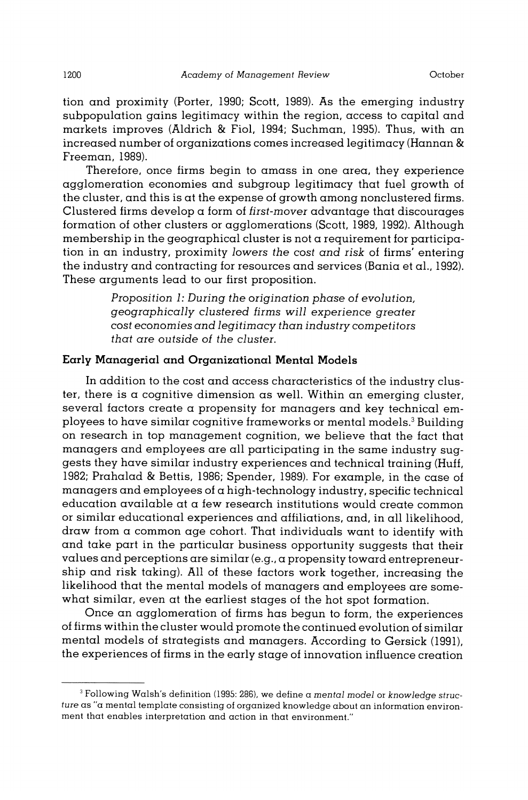tion and proximity (Porter, 1990; Scott, 1989). As the emerging industry subpopulation gains legitimacy within the region, access to capital and markets improves (Aldrich & Fiol, 1994; Suchman, 1995). Thus, with an increased number of organizations comes increased legitimacy (Hannan & Freeman, 1989).

 Therefore, once firms begin to amass in one area, they experience agglomeration economies and subgroup legitimacy that fuel growth of the cluster, and this is at the expense of growth among nonclustered firms. Clustered firms develop a form of first-mover advantage that discourages formation of other clusters or agglomerations (Scott, 1989, 1992). Although membership in the geographical cluster is not a requirement for participa tion in an industry, proximity lowers the cost and risk of firms' entering the industry and contracting for resources and services (Bania et al., 1992). These arguments lead to our first proposition.

> Proposition 1: During the origination phase of evolution, geographically clustered firms will experience greater cost economies and legitimacy than industry competitors that are outside of the cluster.

### Early Managerial and Organizational Mental Models

 In addition to the cost and access characteristics of the industry clus ter, there is a cognitive dimension as well. Within an emerging cluster, several factors create a propensity for managers and key technical em ployees to have similar cognitive frameworks or mental models.3 Building on research in top management cognition, we believe that the fact that managers and employees are all participating in the same industry sug gests they have similar industry experiences and technical training (Huff, 1982; Prahalad & Bettis, 1986; Spender, 1989). For example, in the case of managers and employees of a high-technology industry, specific technical education available at a few research institutions would create common or similar educational experiences and affiliations, and, in all likelihood, draw from a common age cohort. That individuals want to identify with and take part in the particular business opportunity suggests that their values and perceptions are similar (e.g., a propensity toward entrepreneur ship and risk taking). All of these factors work together, increasing the likelihood that the mental models of managers and employees are some what similar, even at the earliest stages of the hot spot formation.

 Once an agglomeration of firms has begun to form, the experiences of firms within the cluster would promote the continued evolution of similar mental models of strategists and managers. According to Gersick (1991), the experiences of firms in the early stage of innovation influence creation

 $^3$  Following Walsh's definition (1995: 286), we define a mental model or knowledge struc ture as "a mental template consisting of organized knowledge about an information environ ment that enables interpretation and action in that environment."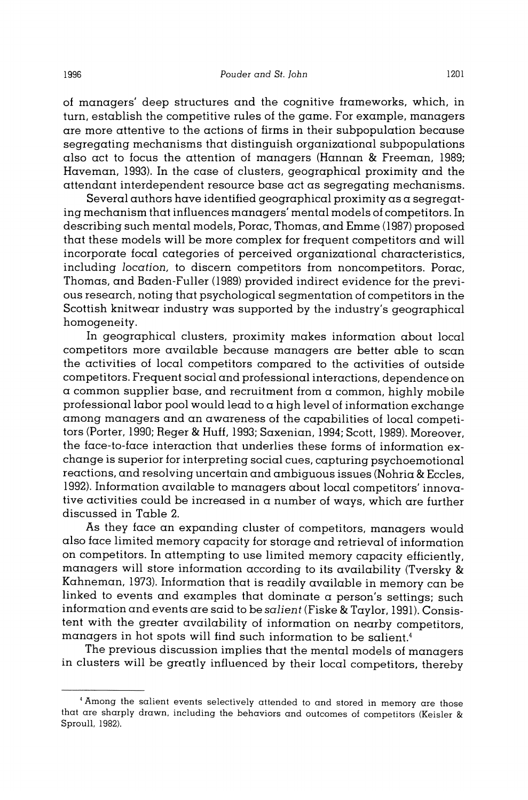of managers' deep structures and the cognitive frameworks, which, in turn, establish the competitive rules of the game. For example, managers are more attentive to the actions of firms in their subpopulation because segregating mechanisms that distinguish organizational subpopulations also act to focus the attention of managers (Hannan & Freeman, 1989; Haveman, 1993). In the case of clusters, geographical proximity and the attendant interdependent resource base act as segregating mechanisms.

 Several authors have identified geographical proximity as a segregat ing mechanism that influences managers' mental models of competitors. In describing such mental models, Porac, Thomas, and Emme (1987) proposed that these models will be more complex for frequent competitors and will incorporate focal categories of perceived organizational characteristics, including location, to discern competitors from noncompetitors. Porac, Thomas, and Baden-Fuller (1989) provided indirect evidence for the previ ous research, noting that psychological segmentation of competitors in the Scottish knitwear industry was supported by the industry's geographical homogeneity.

 In geographical clusters, proximity makes information about local competitors more available because managers are better able to scan the activities of local competitors compared to the activities of outside competitors. Frequent social and professional interactions, dependence on  $\alpha$  common supplier base, and recruitment from  $\alpha$  common, highly mobile professional labor pool would lead to a high level of information exchange among managers and an awareness of the capabilities of local competi tors (Porter, 1990; Reger & Huff, 1993; Saxenian, 1994; Scott, 1989). Moreover, the face-to-face interaction that underlies these forms of information ex change is superior for interpreting social cues, capturing psychoemotional reactions, and resolving uncertain and ambiguous issues (Nohria & Eccles, 1992). Information available to managers about local competitors' innova tive activities could be increased in a number of ways, which are further discussed in Table 2.

 As they face an expanding cluster of competitors, managers would also face limited memory capacity for storage and retrieval of information on competitors. In attempting to use limited memory capacity efficiently, managers will store information according to its availability (Tversky & Kahneman, 1973). Information that is readily available in memory can be linked to events and examples that dominate  $\alpha$  person's settings; such information and events are said to be salient (Fiske & Taylor, 1991). Consis tent with the greater availability of information on nearby competitors, managers in hot spots will find such information to be salient.4

 The previous discussion implies that the mental models of managers in clusters will be greatly influenced by their local competitors, thereby

 <sup>&#</sup>x27;Among the salient events selectively attended to and stored in memory are those that are sharply drawn, including the behaviors and outcomes of competitors (Keisler & Sproull, 1982).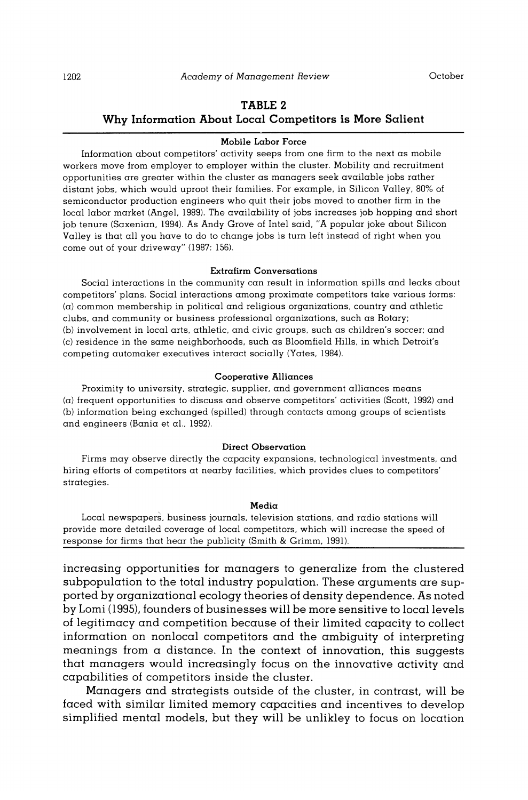### TABLE 2 Why Information About Local Competitors is More Salient

#### Mobile Labor Force

 Information about competitors' activity seeps from one firm to the next as mobile workers move from employer to employer within the cluster. Mobility and recruitment opportunities are greater within the cluster as managers seek available jobs rather distant jobs, which would uproot their families. For example, in Silicon Valley, 80% of semiconductor production engineers who quit their jobs moved to another firm in the local labor market (Angel, 1989). The availability of jobs increases job hopping and short job tenure (Saxenian, 1994). As Andy Grove of Intel said, "A popular joke about Silicon Valley is that all you have to do to change jobs is turn left instead of right when you come out of your driveway" (1987: 156).

#### Extrafirm Conversations

 Social interactions in the community can result in information spills and leaks about competitors' plans. Social interactions among proximate competitors take various forms: (a) common membership in political and religious organizations, country and athletic clubs, and community or business professional organizations, such as Rotary; (b) involvement in local arts, athletic, and civic groups, such as children's soccer; and (c) residence in the same neighborhoods, such as Bloomfield Hills, in which Detroit's competing automaker executives interact socially (Yates, 1984).

#### Cooperative Alliances

 Proximity to university, strategic, supplier, and government alliances means (a) frequent opportunities to discuss and observe competitors' activities (Scott, 1992) and (b) information being exchanged (spilled) through contacts among groups of scientists and engineers (Bania et al., 1992).

#### Direct Observation

 Firms may observe directly the capacity expansions, technological investments, and hiring efforts of competitors at nearby facilities, which provides clues to competitors' strategies.

#### Media

 Local newspapers, business journals, television stations, and radio stations will provide more detailed coverage of local competitors, which will increase the speed of response for firms that hear the publicity (Smith & Grimm, 1991).

 increasing opportunities for managers to generalize from the clustered subpopulation to the total industry population. These arguments are sup ported by organizational ecology theories of density dependence. As noted by Lomi (1995), founders of businesses will be more sensitive to local levels of legitimacy and competition because of their limited capacity to collect information on nonlocal competitors and the ambiguity of interpreting meanings from  $\alpha$  distance. In the context of innovation, this suggests that managers would increasingly focus on the innovative activity and capabilities of competitors inside the cluster.

 Managers and strategists outside of the cluster, in contrast, will be faced with similar limited memory capacities and incentives to develop simplified mental models, but they will be unlikley to focus on location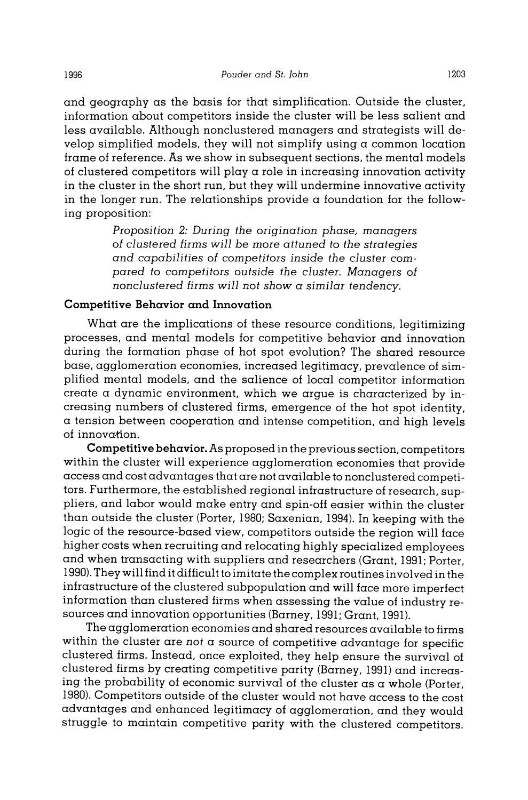and geography as the basis for that simplification. Outside the cluster, information about competitors inside the cluster will be less salient and less available. Although nonclustered managers and strategists will de velop simplified models, they will not simplify using  $\alpha$  common location frame of reference. As we show in subsequent sections, the mental models of clustered competitors will play a role in increasing innovation activity in the cluster in the short run, but they will undermine innovative activity in the longer run. The relationships provide a foundation for the following proposition:

> Proposition 2: During the origination phase, managers of clustered firms will be more attuned to the strategies and capabilities of competitors inside the cluster com pared to competitors outside the cluster. Managers of nonclustered firms will not show a similar tendency.

### Competitive Behavior and Innovation

 What are the implications of these resource conditions, legitimizing processes, and mental models for competitive behavior and innovation during the formation phase of hot spot evolution? The shared resource base, agglomeration economies, increased legitimacy, prevalence of sim plified mental models, and the salience of local competitor information create a dynamic environment, which we argue is characterized by in creasing numbers of clustered firms, emergence of the hot spot identity, a tension between cooperation and intense competition, and high levels of innovation.

 Competitive behavior. As proposed in the previous section, competitors within the cluster will experience agglomeration economies that provide access and cost advantages that are not available to nonclustered competi tors. Furthermore, the established regional infrastructure of research, sup pliers, and labor would make entry and spin-off easier within the cluster than outside the cluster (Porter, 1980; Saxenian, 1994). In keeping with the logic of the resource-based view, competitors outside the region will face higher costs when recruiting and relocating highly specialized employees and when transacting with suppliers and researchers (Grant, 1991; Porter, 1990). They will find it difficult to imitate the complex routines involved in the infrastructure of the clustered subpopulation and will face more imperfect information than clustered firms when assessing the value of industry re sources and innovation opportunities (Barney, 1991; Grant, 1991).

 The agglomeration economies and shared resources available to firms within the cluster are not a source of competitive advantage for specific clustered firms. Instead, once exploited, they help ensure the survival of clustered firms by creating competitive parity (Barney, 1991) and increas ing the probability of economic survival of the cluster as a whole (Porter, 1980). Competitors outside of the cluster would not have access to the cost advantages and enhanced legitimacy of agglomeration, and they would struggle to maintain competitive parity with the clustered competitors.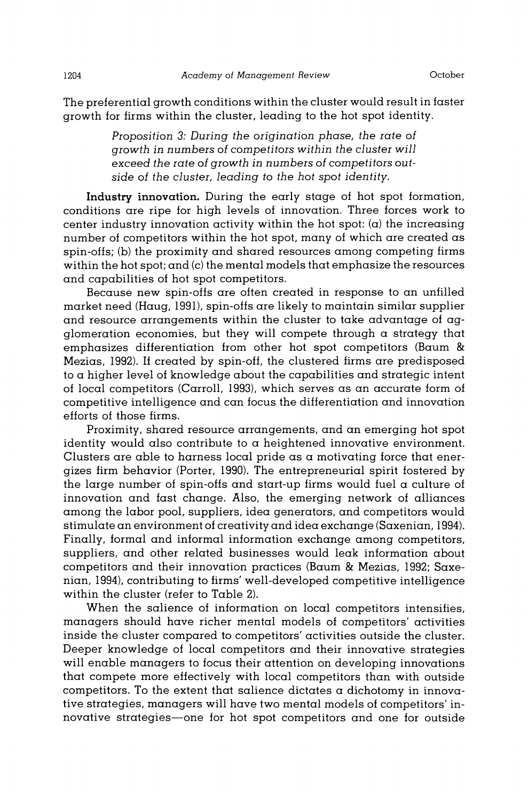The preferential growth conditions within the cluster would result in faster growth for firms within the cluster, leading to the hot spot identity.

> Proposition 3: During the origination phase, the rate of growth in numbers of competitors within the cluster will exceed the rate of growth in numbers of competitors out side of the cluster, leading to the hot spot identity.

 Industry innovation. During the early stage of hot spot formation, conditions are ripe for high levels of innovation. Three forces work to center industry innovation activity within the hot spot:  $(a)$  the increasing number of competitors within the hot spot, many of which are created as spin-offs; (b) the proximity and shared resources among competing firms within the hot spot; and (c) the mental models that emphasize the resources and capabilities of hot spot competitors.

 Because new spin-offs are often created in response to an unfilled market need (Haug, 1991), spin-offs are likely to maintain similar supplier and resource arrangements within the cluster to take advantage of ag glomeration economies, but they will compete through a strategy that emphasizes differentiation from other hot spot competitors (Baum & Mezias, 1992). If created by spin-off, the clustered firms are predisposed to a higher level of knowledge about the capabilities and strategic intent of local competitors (Carroll, 1993), which serves as an accurate form of competitive intelligence and can focus the differentiation and innovation efforts of those firms.

 Proximity, shared resource arrangements, and an emerging hot spot identity would also contribute to a heightened innovative environment. Clusters are able to harness local pride as a motivating force that ener gizes firm behavior (Porter, 1990). The entrepreneurial spirit fostered by the large number of spin-offs and start-up firms would fuel a culture of innovation and fast change. Also, the emerging network of alliances among the labor pool, suppliers, idea generators, and competitors would stimulate an environment of creativity and idea exchange (Saxenian, 1994). Finally, formal and informal information exchange among competitors, suppliers, and other related businesses would leak information about competitors and their innovation practices (Baum & Mezias, 1992; Saxe nian, 1994), contributing to firms' well-developed competitive intelligence within the cluster (refer to Table 2).

 When the salience of information on local competitors intensifies, managers should have richer mental models of competitors' activities inside the cluster compared to competitors' activities outside the cluster. Deeper knowledge of local competitors and their innovative strategies will enable managers to focus their attention on developing innovations that compete more effectively with local competitors than with outside competitors. To the extent that salience dictates a dichotomy in innova tive strategies, managers will have two mental models of competitors' in novative strategies-one for hot spot competitors and one for outside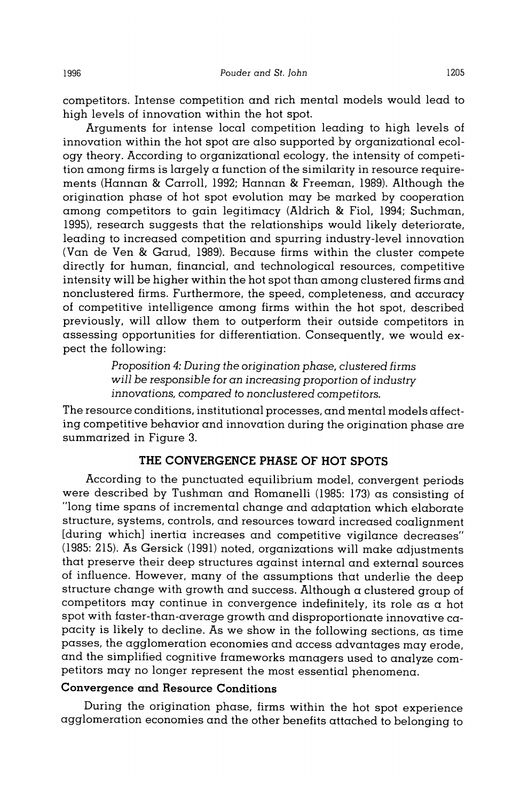competitors. Intense competition and rich mental models would lead to high levels of innovation within the hot spot.

 Arguments for intense local competition leading to high levels of innovation within the hot spot are also supported by organizational ecol ogy theory. According to organizational ecology, the intensity of competi tion among firms is largely a function of the similarity in resource require ments (Hannan & Carroll, 1992; Hannan & Freeman, 1989). Although the origination phase of hot spot evolution may be marked by cooperation among competitors to gain legitimacy (Aldrich & Fiol, 1994; Suchman, 1995), research suggests that the relationships would likely deteriorate, leading to increased competition and spurring industry-level innovation (Van de Ven & Garud, 1989). Because firms within the cluster compete directly for human, financial, and technological resources, competitive intensity will be higher within the hot spot than among clustered firms and nonclustered firms. Furthermore, the speed, completeness, and accuracy of competitive intelligence among firms within the hot spot, described previously, will allow them to outperform their outside competitors in assessing opportunities for differentiation. Consequently, we would ex pect the following:

> Proposition 4: During the origination phase, clustered firms will be responsible for an increasing proportion of industry innovations, compared to nonclustered competitors.

 The resource conditions, institutional processes, and mental models affect ing competitive behavior and innovation during the origination phase are summarized in Figure 3.

### THE CONVERGENCE PHASE OF HOT SPOTS

 According to the punctuated equilibrium model, convergent periods were described by Tushman and Romanelli (1985: 173) as consisting of "long time spans of incremental change and adaptation which elaborate structure, systems, controls, and resources toward increased coalignment [during which] inertia increases and competitive vigilance decreases" (1985: 215). As Gersick (1991) noted, organizations will make adjustments that preserve their deep structures against internal and external sources of influence. However, many of the assumptions that underlie the deep structure change with growth and success. Although  $\alpha$  clustered group of competitors may continue in convergence indefinitely, its role as a hot spot with faster-than-average growth and disproportionate innovative ca pacity is likely to decline. As we show in the following sections, as time passes, the agglomeration economies and access advantages may erode, and the simplified cognitive frameworks managers used to analyze com petitors may no longer represent the most essential phenomena.

### Convergence and Resource Conditions

 During the origination phase, firms within the hot spot experience agglomeration economies and the other benefits attached to belonging to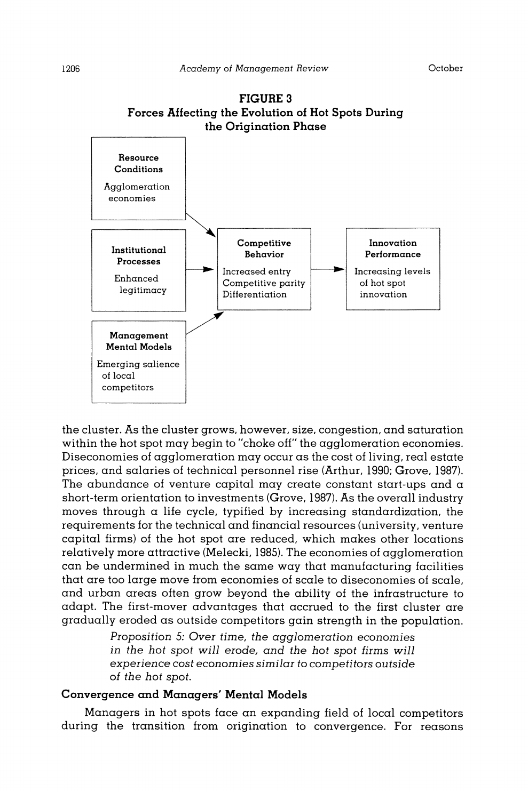

 FIGURE 3 Forces Affecting the Evolution of Hot Spots During

 the cluster. As the cluster grows, however, size, congestion, and saturation within the hot spot may begin to "choke off" the agglomeration economies. Diseconomies of agglomeration may occur as the cost of living, real estate prices, and salaries of technical personnel rise (Arthur, 1990; Grove, 1987). The abundance of venture capital may create constant start-ups and  $\alpha$  short-term orientation to investments (Grove, 1987). As the overall industry moves through a life cycle, typified by increasing standardization, the requirements for the technical and financial resources (university, venture capital firms) of the hot spot are reduced, which makes other locations relatively more attractive (Melecki, 1985). The economies of agglomeration can be undermined in much the same way that manufacturing facilities that are too large move from economies of scale to diseconomies of scale, and urban areas often grow beyond the ability of the infrastructure to adapt. The first-mover advantages that accrued to the first cluster are gradually eroded as outside competitors gain strength in the population.

> Proposition 5: Over time, the agglomeration economies in the hot spot will erode, and the hot spot firms will experience cost economies similar to competitors outside of the hot spot.

### Convergence and Managers' Mental Models

 Managers in hot spots face an expanding field of local competitors during the transition from origination to convergence. For reasons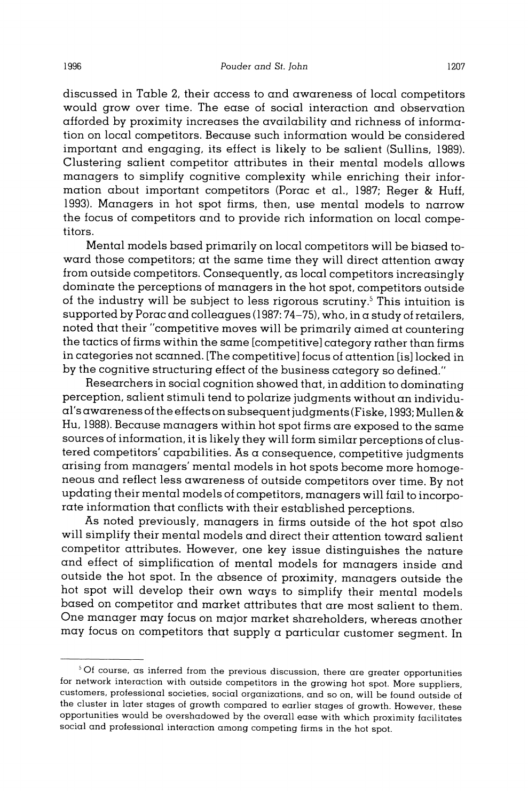discussed in Table 2, their access to and awareness of local competitors would grow over time. The ease of social interaction and observation afforded by proximity increases the availability and richness of informa tion on local competitors. Because such information would be considered important and engaging, its effect is likely to be salient (Sullins, 1989). Clustering salient competitor attributes in their mental models allows managers to simplify cognitive complexity while enriching their infor mation about important competitors (Porac et al., 1987; Reger & Huff, 1993). Managers in hot spot firms, then, use mental models to narrow the focus of competitors and to provide rich information on local compe titors.

 Mental models based primarily on local competitors will be biased to ward those competitors; at the same time they will direct attention away from outside competitors. Consequently, as local competitors increasingly dominate the perceptions of managers in the hot spot, competitors outside of the industry will be subject to less rigorous scrutiny.<sup>5</sup> This intuition is supported by Porac and colleagues (1987: 74-75), who, in a study of retailers, noted that their "competitive moves will be primarily aimed at countering the tactics of firms within the same [competitive] category rather than firms in categories not scanned. [The competitive] focus of attention [is] locked in by the cognitive structuring effect of the business category so defined."

 Researchers in social cognition showed that, in addition to dominating perception, salient stimuli tend to polarize judgments without an individu al's awareness of the effects on subsequent judgments (Fiske, 1993; Mullen & Hu, 1988). Because managers within hot spot firms are exposed to the same sources of information, it is likely they will form similar perceptions of clus tered competitors' capabilities. As a consequence, competitive judgments arising from managers' mental models in hot spots become more homoge neous and reflect less awareness of outside competitors over time. By not updating their mental models of competitors, managers will fail to incorpo rate information that conflicts with their established perceptions.

 As noted previously, managers in firms outside of the hot spot also will simplify their mental models and direct their attention toward salient competitor attributes. However, one key issue distinguishes the nature and effect of simplification of mental models for managers inside and outside the hot spot. In the absence of proximity, managers outside the hot spot will develop their own ways to simplify their mental models based on competitor and market attributes that are most salient to them. One manager may focus on major market shareholders, whereas another may focus on competitors that supply a particular customer segment. In

 <sup>&#</sup>x27;Of course, as inferred from the previous discussion, there are greater opportunities for network interaction with outside competitors in the growing hot spot. More suppliers, customers, professional societies, social organizations, and so on, will be found outside of the cluster in later stages of growth compared to earlier stages of growth. However, these opportunities would be overshadowed by the overall ease with which proximity facilitates social and professional interaction among competing firms in the hot spot.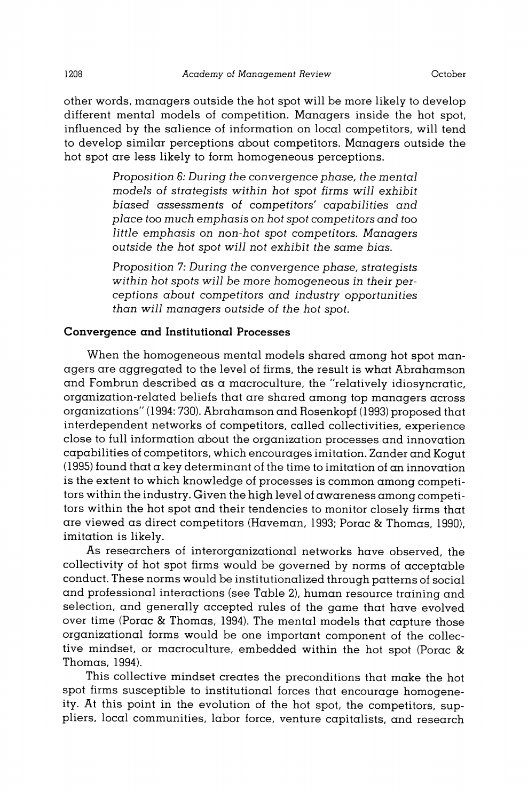other words, managers outside the hot spot will be more likely to develop different mental models of competition. Managers inside the hot spot, influenced by the salience of information on local competitors, will tend to develop similar perceptions about competitors. Managers outside the hot spot are less likely to form homogeneous perceptions.

> Proposition 6: During the convergence phase, the mental models of strategists within hot spot firms will exhibit biased assessments of competitors' capabilities and place too much emphasis on hot spot competitors and too little emphasis on non-hot spot competitors. Managers outside the hot spot will not exhibit the same bias.

> Proposition 7: During the convergence phase, strategists within hot spots will be more homogeneous in their per ceptions about competitors and industry opportunities than will managers outside of the hot spot.

### Convergence and Institutional Processes

 When the homogeneous mental models shared among hot spot man agers are aggregated to the level of firms, the result is what Abrahamson and Fombrun described as a macroculture, the "relatively idiosyncratic, organization-related beliefs that are shared among top managers across organizations" (1994: 730). Abrahamson and Rosenkopf (1993) proposed that interdependent networks of competitors, called collectivities, experience close to full information about the organization processes and innovation capabilities of competitors, which encourages imitation. Zander and Kogut (1995) found that a key determinant of the time to imitation of an innovation is the extent to which knowledge of processes is common among competi tors within the industry. Given the high level of awareness among competi tors within the hot spot and their tendencies to monitor closely firms that are viewed as direct competitors (Haveman, 1993; Porac & Thomas, 1990), imitation is likely.

 As researchers of interorganizational networks have observed, the collectivity of hot spot firms would be governed by norms of acceptable conduct. These norms would be institutionalized through patterns of social and professional interactions (see Table 2), human resource training and selection, and generally accepted rules of the game that have evolved over time (Porac & Thomas, 1994). The mental models that capture those organizational forms would be one important component of the collec tive mindset, or macroculture, embedded within the hot spot (Porac & Thomas, 1994).

 This collective mindset creates the preconditions that make the hot spot firms susceptible to institutional forces that encourage homogene ity. At this point in the evolution of the hot spot, the competitors, sup pliers, local communities, labor force, venture capitalists, and research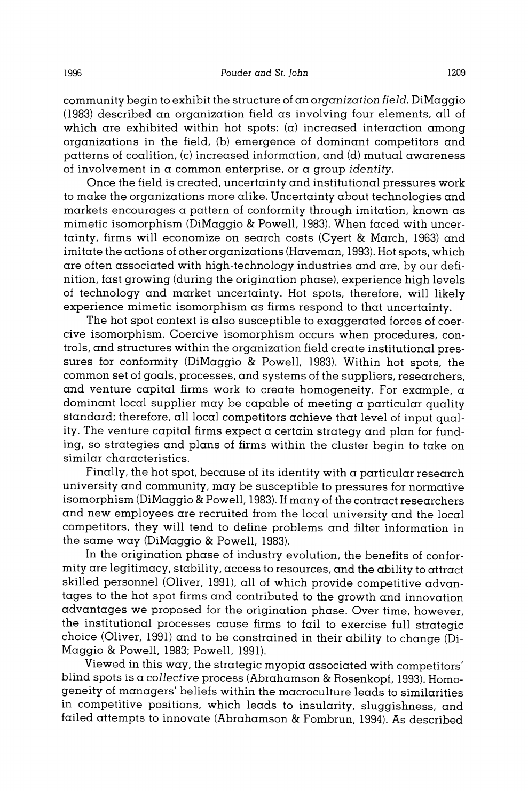community begin to exhibit the structure of an organization field. DiMaggio (1983) described an organization field as involving four elements, all of which are exhibited within hot spots:  $(a)$  increased interaction among organizations in the field, (b) emergence of dominant competitors and patterns of coalition, (c) increased information, and (d) mutual awareness of involvement in  $\alpha$  common enterprise, or  $\alpha$  group identity.

 Once the field is created, uncertainty and institutional pressures work to make the organizations more alike. Uncertainty about technologies and markets encourages a pattern of conformity through imitation, known as mimetic isomorphism (DiMaggio & Powell, 1983). When faced with uncer tainty, firms will economize on search costs (Cyert & March, 1963) and imitate the actions of other organizations (Haveman, 1993). Hot spots, which are often associated with high-technology industries and are, by our defi nition, fast growing (during the origination phase), experience high levels of technology and market uncertainty. Hot spots, therefore, will likely experience mimetic isomorphism as firms respond to that uncertainty.

 The hot spot context is also susceptible to exaggerated forces of coer cive isomorphism. Coercive isomorphism occurs when procedures, con trols, and structures within the organization field create institutional pres sures for conformity (DiMaggio & Powell, 1983). Within hot spots, the common set of goals, processes, and systems of the suppliers, researchers, and venture capital firms work to create homogeneity. For example, a dominant local supplier may be capable of meeting a particular quality standard; therefore, all local competitors achieve that level of input qual ity. The venture capital firms expect a certain strategy and plan for fund ing, so strategies and plans of firms within the cluster begin to take on similar characteristics.

Finally, the hot spot, because of its identity with a particular research university and community, may be susceptible to pressures for normative isomorphism (DiMaggio & Powell, 1983). If many of the contract researchers and new employees are recruited from the local university and the local competitors, they will tend to define problems and filter information in the same way (DiMaggio & Powell, 1983).

 In the origination phase of industry evolution, the benefits of confor mity are legitimacy, stability, access to resources, and the ability to attract skilled personnel (Oliver, 1991), all of which provide competitive advan tages to the hot spot firms and contributed to the growth and innovation advantages we proposed for the origination phase. Over time, however, the institutional processes cause firms to fail to exercise full strategic choice (Oliver, 1991) and to be constrained in their ability to change (Di- Maggio & Powell, 1983; Powell, 1991).

 Viewed in this way, the strategic myopia associated with competitors' blind spots is a collective process (Abrahamson & Rosenkopf, 1993). Homo geneity of managers' beliefs within the macroculture leads to similarities in competitive positions, which leads to insularity, sluggishness, and failed attempts to innovate (Abrahamson & Fombrun, 1994). As described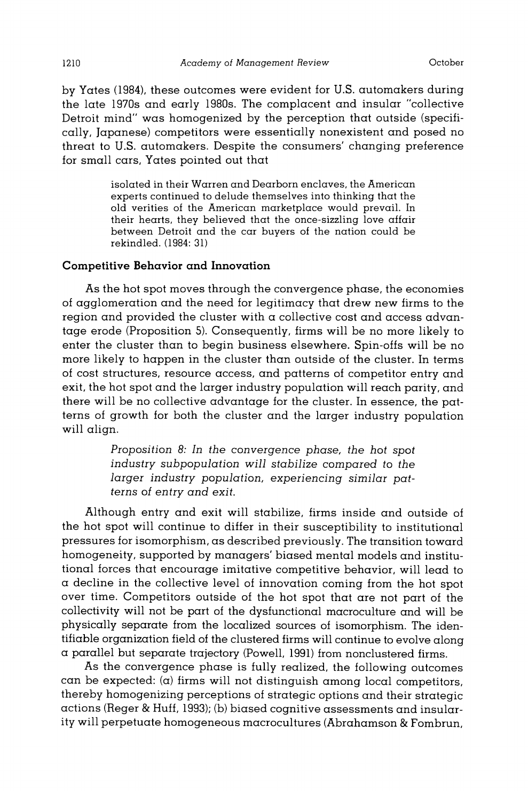by Yates (1984), these outcomes were evident for U.S. automakers during the late 1970s and early 1980s. The complacent and insular "collective Detroit mind" was homogenized by the perception that outside (specifi cally, Japanese) competitors were essentially nonexistent and posed no threat to U.S. automakers. Despite the consumers' changing preference for small cars, Yates pointed out that

> isolated in their Warren and Dearborn enclaves, the American experts continued to delude themselves into thinking that the old verities of the American marketplace would prevail. In their hearts, they believed that the once-sizzling love affair between Detroit and the car buyers of the nation could be rekindled. (1984: 31)

#### Competitive Behavior and Innovation

 As the hot spot moves through the convergence phase, the economies of agglomeration and the need for legitimacy that drew new firms to the region and provided the cluster with a collective cost and access advan tage erode (Proposition 5). Consequently, firms will be no more likely to enter the cluster than to begin business elsewhere. Spin-offs will be no more likely to happen in the cluster than outside of the cluster. In terms of cost structures, resource access, and patterns of competitor entry and exit, the hot spot and the larger industry population will reach parity, and there will be no collective advantage for the cluster. In essence, the pat terns of growth for both the cluster and the larger industry population will align.

> Proposition 8: In the convergence phase, the hot spot industry subpopulation will stabilize compared to the larger industry population, experiencing similar pat terns of entry and exit.

 Although entry and exit will stabilize, firms inside and outside of the hot spot will continue to differ in their susceptibility to institutional pressures for isomorphism, as described previously. The transition toward homogeneity, supported by managers' biased mental models and institu tional forces that encourage imitative competitive behavior, will lead to a decline in the collective level of innovation coming from the hot spot over time. Competitors outside of the hot spot that are not part of the collectivity will not be part of the dysfunctional macroculture and will be physically separate from the localized sources of isomorphism. The iden tifiable organization field of the clustered firms will continue to evolve along a parallel but separate trajectory (Powell, 1991) from nonclustered firms.

 As the convergence phase is fully realized, the following outcomes can be expected: (a) firms will not distinguish among local competitors, thereby homogenizing perceptions of strategic options and their strategic actions (Reger & Huff, 1993); (b) biased cognitive assessments and insular ity will perpetuate homogeneous macrocultures (Abrahamson & Fombrun,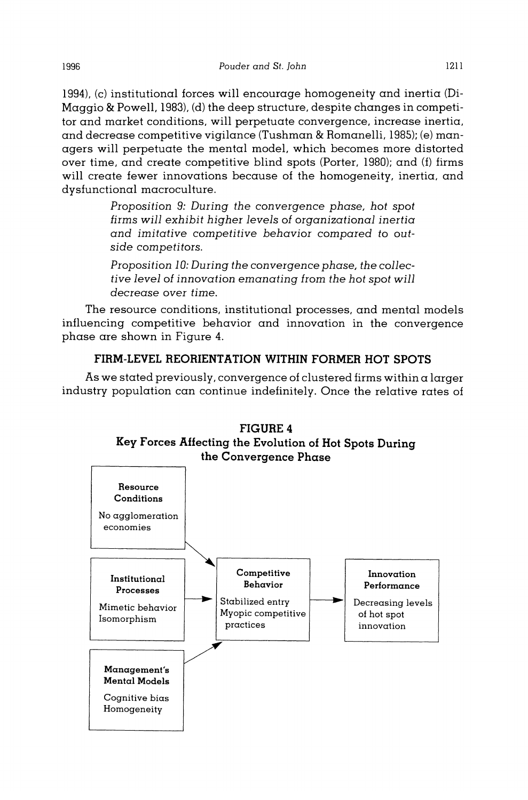1994), (c) institutional forces will encourage homogeneity and inertia (Di- Maggio & Powell, 1983), (d) the deep structure, despite changes in competi tor and market conditions, will perpetuate convergence, increase inertia, and decrease competitive vigilance (Tushman & Romanelli, 1985); (e) man agers will perpetuate the mental model, which becomes more distorted over time, and create competitive blind spots (Porter, 1980); and (f) firms will create fewer innovations because of the homogeneity, inertia, and dysfunctional macroculture.

> Proposition 9: During the convergence phase, hot spot firms will exhibit higher levels of organizational inertia and imitative competitive behavior compared to out side competitors.

> Proposition 1O: During the convergence phase, the collec tive level of innovation emanating from the hot spot will decrease over time.

 The resource conditions, institutional processes, and mental models influencing competitive behavior and innovation in the convergence phase are shown in Figure 4.

### FIRM-LEVEL REORIENTATION WITHIN FORMER HOT SPOTS

As we stated previously, convergence of clustered firms within a larger industry population can continue indefinitely. Once the relative rates of

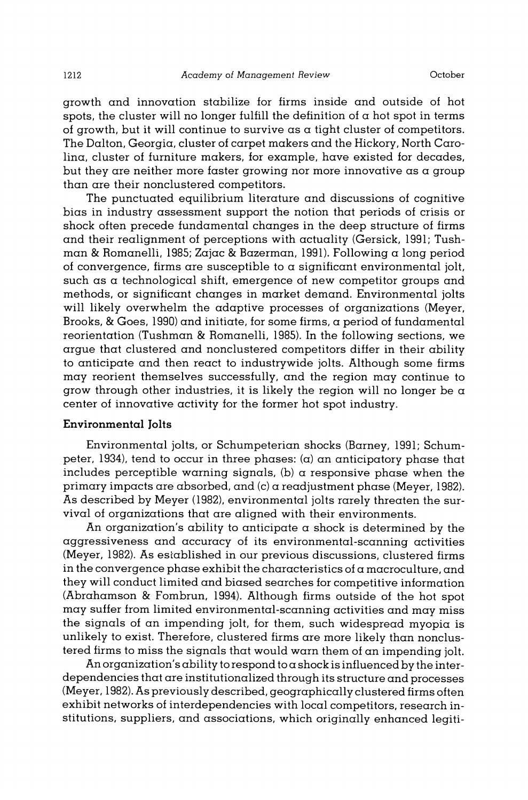growth and innovation stabilize for firms inside and outside of hot spots, the cluster will no longer fulfill the definition of  $\alpha$  hot spot in terms of growth, but it will continue to survive as a tight cluster of competitors. The Dalton, Georgia, cluster of carpet makers and the Hickory, North Caro lina, cluster of furniture makers, for example, have existed for decades, but they are neither more faster growing nor more innovative as a group than are their nonclustered competitors.

 The punctuated equilibrium literature and discussions of cognitive bias in industry assessment support the notion that periods of crisis or shock often precede fundamental changes in the deep structure of firms and their realignment of perceptions with actuality (Gersick, 1991; Tush man & Romanelli, 1985; Zajac & Bazerman, 1991). Following a long period of convergence, firms are susceptible to a significant environmental jolt, such as a technological shift, emergence of new competitor groups and methods, or significant changes in market demand. Environmental jolts will likely overwhelm the adaptive processes of organizations (Meyer, Brooks, & Goes, 1990) and initiate, for some firms,  $\alpha$  period of fundamental reorientation (Tushman & Romanelli, 1985). In the following sections, we argue that clustered and nonclustered competitors differ in their ability to anticipate and then react to industrywide jolts. Although some firms may reorient themselves successfully, and the region may continue to grow through other industries, it is likely the region will no longer be  $\alpha$ center of innovative activity for the former hot spot industry.

### Environmental Jolts

 Environmental jolts, or Schumpeterian shocks (Barney, 1991; Schum peter, 1934), tend to occur in three phases:  $(a)$  an anticipatory phase that includes perceptible warning signals,  $(b)$  a responsive phase when the primary impacts are absorbed, and (c) a readjustment phase (Meyer, 1982). As described by Meyer (1982), environmental jolts rarely threaten the sur vival of organizations that are aligned with their environments.

An organization's ability to anticipate  $\alpha$  shock is determined by the aggressiveness and accuracy of its environmental-scanning activities (Meyer, 1982). As established in our previous discussions, clustered firms in the convergence phase exhibit the characteristics of a macroculture, and they will conduct limited and biased searches for competitive information (Abrahamson & Fombrun, 1994). Although firms outside of the hot spot may suffer from limited environmental-scanning activities and may miss the signals of an impending jolt, for them, such widespread myopia is unlikely to exist. Therefore, clustered firms are more likely than nonclus tered firms to miss the signals that would warn them of an impending jolt.

An organization's ability to respond to a shock is influenced by the inter dependencies that are institutionalized through its structure and processes (Meyer, 1982). As previously described, geographically clustered firms often exhibit networks of interdependencies with local competitors, research in stitutions, suppliers, and associations, which originally enhanced legiti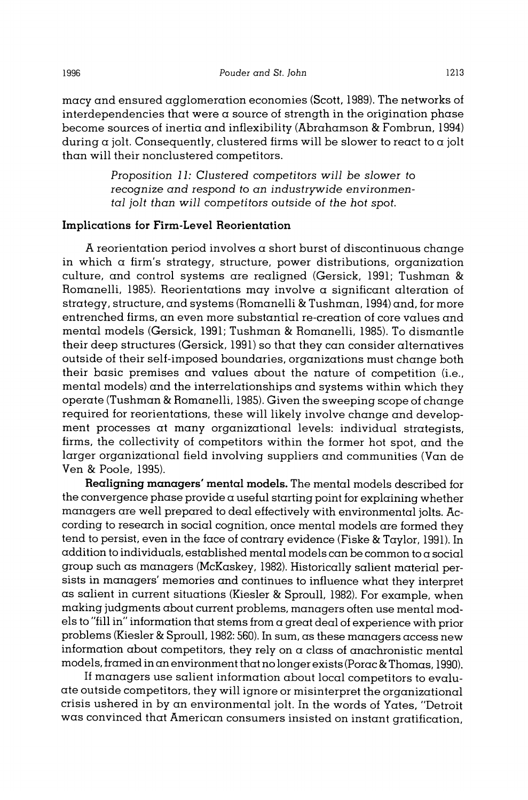macy and ensured agglomeration economies (Scott, 1989). The networks of interdependencies that were a source of strength in the origination phase become sources of inertia and inflexibility (Abrahamson & Fombrun, 1994) during  $\alpha$  jolt. Consequently, clustered firms will be slower to react to  $\alpha$  jolt than will their nonclustered competitors.

> Proposition 11: Clustered competitors will be slower to recognize and respond to an industrywide environmen tal jolt than will competitors outside of the hot spot.

### Implications for Firm-Level Reorientation

A reorientation period involves  $\alpha$  short burst of discontinuous change in which a firm's strategy, structure, power distributions, organization culture, and control systems are realigned (Gersick, 1991; Tushman & Romanelli, 1985). Reorientations may involve a significant alteration of strategy, structure, and systems (Romanelli & Tushman, 1994) and, for more entrenched firms, an even more substantial re-creation of core values and mental models (Gersick, 1991; Tushman & Romanelli, 1985). To dismantle their deep structures (Gersick, 1991) so that they can consider alternatives outside of their self-imposed boundaries, organizations must change both their basic premises and values about the nature of competition (i.e., mental models) and the interrelationships and systems within which they operate (Tushman & Romanelli, 1985). Given the sweeping scope of change required for reorientations, these will likely involve change and develop ment processes at many organizational levels: individual strategists, firms, the collectivity of competitors within the former hot spot, and the larger organizational field involving suppliers and communities (Van de Ven & Poole, 1995).

 Realigning managers' mental models. The mental models described for the convergence phase provide  $\alpha$  useful starting point for explaining whether managers are well prepared to deal effectively with environmental jolts. Ac cording to research in social cognition, once mental models are formed they tend to persist, even in the face of contrary evidence (Fiske & Taylor, 1991). In addition to individuals, established mental models can be common to a social group such as managers (McKaskey, 1982). Historically salient material per sists in managers' memories and continues to influence what they interpret as salient in current situations (Kiesler & Sproull, 1982). For example, when making judgments about current problems, managers often use mental mod els to "fill in" information that stems from a great deal of experience with prior problems (Kiesler & Sproull, 1982: 560). In sum, as these managers access new information about competitors, they rely on  $\alpha$  class of anachronistic mental models, framed in an environment that no longer exists (Porac & Thomas, 1990).

 If managers use salient information about local competitors to evalu ate outside competitors, they will ignore or misinterpret the organizational crisis ushered in by an environmental jolt. In the words of Yates, "Detroit was convinced that American consumers insisted on instant gratification,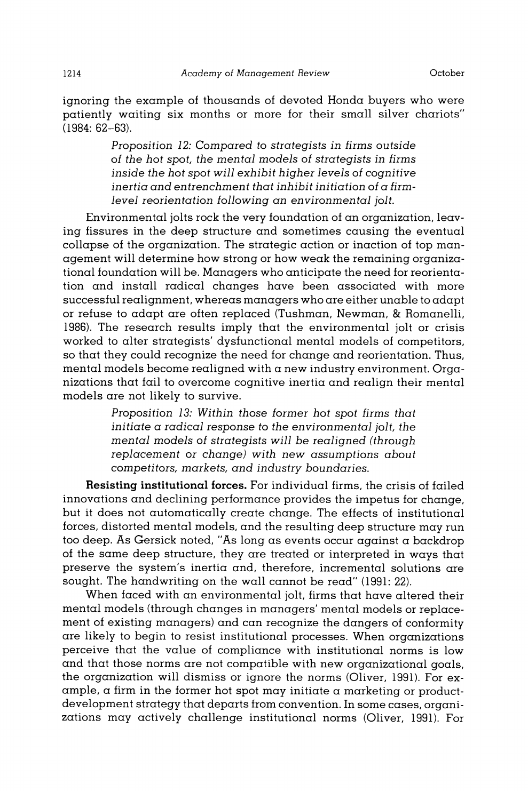ignoring the example of thousands of devoted Honda buyers who were patiently waiting six months or more for their small silver chariots" (1984: 62-63).

> Proposition 12: Compared to strategists in firms outside of the hot spot, the mental models of strategists in firms inside the hot spot will exhibit higher levels of cognitive inertia and entrenchment that inhibit initiation of a firm level reorientation following an environmental jolt.

 Environmental jolts rock the very foundation of an organization, leav ing fissures in the deep structure and sometimes causing the eventual collapse of the organization. The strategic action or inaction of top man agement will determine how strong or how weak the remaining organiza tional foundation will be. Managers who anticipate the need for reorienta tion and install radical changes have been associated with more successful realignment, whereas managers who are either unable to adapt or refuse to adapt are often replaced (Tushman, Newman, & Romanelli, 1986). The research results imply that the environmental jolt or crisis worked to alter strategists' dysfunctional mental models of competitors, so that they could recognize the need for change and reorientation. Thus, mental models become realigned with a new industry environment. Orga nizations that fail to overcome cognitive inertia and realign their mental models are not likely to survive.

> Proposition 13: Within those former hot spot firms that initiate a radical response to the environmental jolt, the mental models of strategists will be realigned (through replacement or change) with new assumptions about competitors, markets, and industry boundaries.

 Resisting institutional forces. For individual firms, the crisis of failed innovations and declining performance provides the impetus for change, but it does not automatically create change. The effects of institutional forces, distorted mental models, and the resulting deep structure may run too deep. As Gersick noted, "As long as events occur against a backdrop of the same deep structure, they are treated or interpreted in ways that preserve the system's inertia and, therefore, incremental solutions are sought. The handwriting on the wall cannot be read" (1991: 22).

 When faced with an environmental jolt, firms that have altered their mental models (through changes in managers' mental models or replace ment of existing managers) and can recognize the dangers of conformity are likely to begin to resist institutional processes. When organizations perceive that the value of compliance with institutional norms is low and that those norms are not compatible with new organizational goals, the organization will dismiss or ignore the norms (Oliver, 1991). For ex ample, a firm in the former hot spot may initiate a marketing or product development strategy that departs from convention. In some cases, organi zations may actively challenge institutional norms (Oliver, 1991). For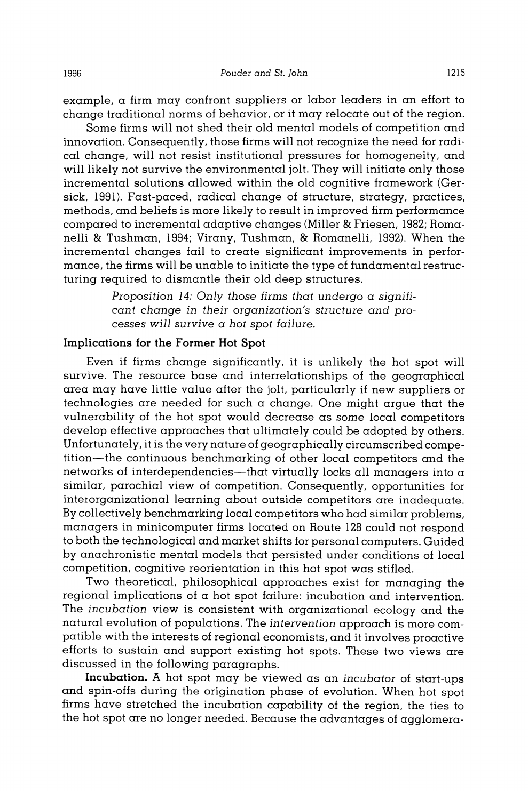example, a firm may confront suppliers or labor leaders in an effort to change traditional norms of behavior, or it may relocate out of the region.

 Some firms will not shed their old mental models of competition and innovation. Consequently, those firms will not recognize the need for radi cal change, will not resist institutional pressures for homogeneity, and will likely not survive the environmental jolt. They will initiate only those incremental solutions allowed within the old cognitive framework (Ger sick, 1991). Fast-paced, radical change of structure, strategy, practices, methods, and beliefs is more likely to result in improved firm performance compared to incremental adaptive changes (Miller & Friesen, 1982; Roma nelli & Tushman, 1994; Virany, Tushman, & Romanelli, 1992). When the incremental changes fail to create significant improvements in perfor mance, the firms will be unable to initiate the type of fundamental restruc turing required to dismantle their old deep structures.

> Proposition 14: Only those firms that undergo a signifi cant change in their organization's structure and pro cesses will survive a hot spot failure.

### Implications for the Former Hot Spot

 Even if firms change significantly, it is unlikely the hot spot will survive. The resource base and interrelationships of the geographical area may have little value after the jolt, particularly if new suppliers or technologies are needed for such a change. One might argue that the vulnerability of the hot spot would decrease as some local competitors develop effective approaches that ultimately could be adopted by others. Unfortunately, it is the very nature of geographically circumscribed compe tition-the continuous benchmarking of other local competitors and the networks of interdependencies-that virtually locks all managers into  $\alpha$  similar, parochial view of competition. Consequently, opportunities for interorganizational learning about outside competitors are inadequate. By collectively benchmarking local competitors who had similar problems, managers in minicomputer firms located on Route 128 could not respond to both the technological and market shifts for personal computers. Guided by anachronistic mental models that persisted under conditions of local competition, cognitive reorientation in this hot spot was stifled.

 Two theoretical, philosophical approaches exist for managing the regional implications of a hot spot failure: incubation and intervention. The incubation view is consistent with organizational ecology and the natural evolution of populations. The intervention approach is more com patible with the interests of regional economists, and it involves proactive efforts to sustain and support existing hot spots. These two views are discussed in the following paragraphs.

 Incubation. A hot spot may be viewed as an incubator of start-ups and spin-offs during the origination phase of evolution. When hot spot firms have stretched the incubation capability of the region, the ties to the hot spot are no longer needed. Because the advantages of agglomera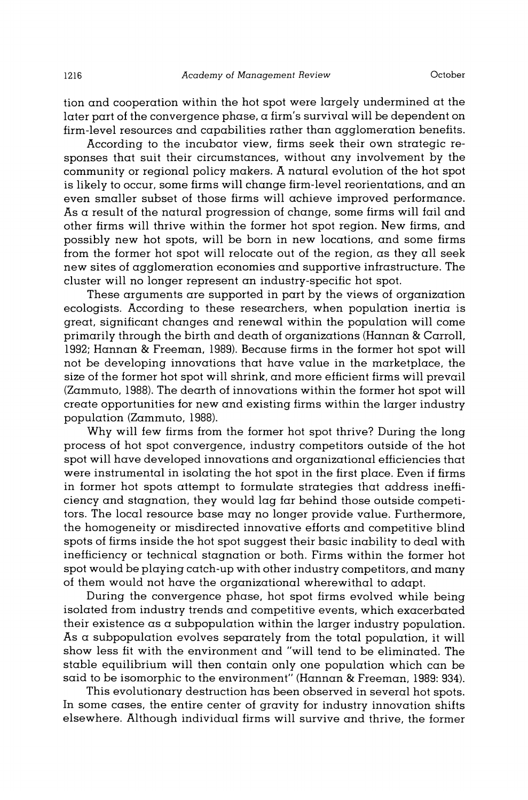tion and cooperation within the hot spot were largely undermined at the later part of the convergence phase, a firm's survival will be dependent on firm-level resources and capabilities rather than agglomeration benefits.

 According to the incubator view, firms seek their own strategic re sponses that suit their circumstances, without any involvement by the community or regional policy makers. A natural evolution of the hot spot is likely to occur, some firms will change firm-level reorientations, and an even smaller subset of those firms will achieve improved performance. As a result of the natural progression of change, some firms will fail and other firms will thrive within the former hot spot region. New firms, and possibly new hot spots, will be born in new locations, and some firms from the former hot spot will relocate out of the region, as they all seek new sites of agglomeration economies and supportive infrastructure. The cluster will no longer represent an industry-specific hot spot.

 These arguments are supported in part by the views of organization ecologists. According to these researchers, when population inertia is great, significant changes and renewal within the population will come primarily through the birth and death of organizations (Hannan & Carroll, 1992; Hannan & Freeman, 1989). Because firms in the former hot spot will not be developing innovations that have value in the marketplace, the size of the former hot spot will shrink, and more efficient firms will prevail (Zammuto, 1988). The dearth of innovations within the former hot spot will create opportunities for new and existing firms within the larger industry population (Zammuto, 1988).

 Why will few firms from the former hot spot thrive? During the long process of hot spot convergence, industry competitors outside of the hot spot will have developed innovations and organizational efficiencies that were instrumental in isolating the hot spot in the first place. Even if firms in former hot spots attempt to formulate strategies that address ineffi ciency and stagnation, they would lag far behind those outside competi tors. The local resource base may no longer provide value. Furthermore, the homogeneity or misdirected innovative efforts and competitive blind spots of firms inside the hot spot suggest their basic inability to deal with inefficiency or technical stagnation or both. Firms within the former hot spot would be playing catch-up with other industry competitors, and many of them would not have the organizational wherewithal to adapt.

 During the convergence phase, hot spot firms evolved while being isolated from industry trends and competitive events, which exacerbated their existence as a subpopulation within the larger industry population. As a subpopulation evolves separately from the total population, it will show less fit with the environment and "will tend to be eliminated. The stable equilibrium will then contain only one population which can be said to be isomorphic to the environment" (Hannan & Freeman, 1989: 934).

 This evolutionary destruction has been observed in several hot spots. In some cases, the entire center of gravity for industry innovation shifts elsewhere. Although individual firms will survive and thrive, the former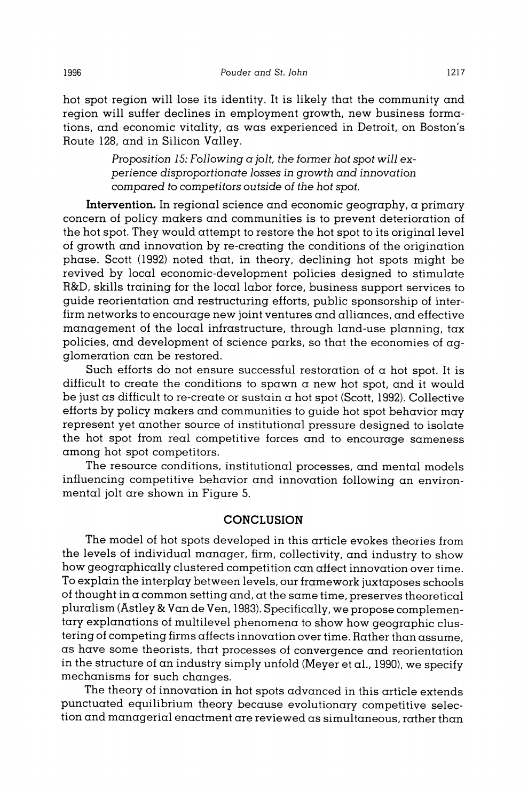hot spot region will lose its identity. It is likely that the community and region will suffer declines in employment growth, new business forma tions, and economic vitality, as was experienced in Detroit, on Boston's Route 128, and in Silicon Valley.

> Proposition 15: Following  $\alpha$  jolt, the former hot spot will ex perience disproportionate losses in growth and innovation compared to competitors outside of the hot spot.

 Intervention. In regional science and economic geography, a primary concern of policy makers and communities is to prevent deterioration of the hot spot. They would attempt to restore the hot spot to its original level of growth and innovation by re-creating the conditions of the origination phase. Scott (1992) noted that, in theory, declining hot spots might be revived by local economic-development policies designed to stimulate R&D, skills training for the local labor force, business support services to guide reorientation and restructuring efforts, public sponsorship of inter firm networks to encourage new joint ventures and alliances, and effective management of the local infrastructure, through land-use planning, tax policies, and development of science parks, so that the economies of ag glomeration can be restored.

Such efforts do not ensure successful restoration of  $\alpha$  hot spot. It is difficult to create the conditions to spawn a new hot spot, and it would be just as difficult to re-create or sustain a hot spot (Scott, 1992). Collective efforts by policy makers and communities to guide hot spot behavior may represent yet another source of institutional pressure designed to isolate the hot spot from real competitive forces and to encourage sameness among hot spot competitors.

 The resource conditions, institutional processes, and mental models influencing competitive behavior and innovation following an environ mental jolt are shown in Figure 5.

### CONCLUSION

 The model of hot spots developed in this article evokes theories from the levels of individual manager, firm, collectivity, and industry to show how geographically clustered competition can affect innovation over time. To explain the interplay between levels, our framework juxtaposes schools of thought in a common setting and, at the same time, preserves theoretical pluralism (Astley & Van de Ven, 1983). Specifically, we propose complemen tary explanations of multilevel phenomena to show how geographic clus tering of competing firms affects innovation over time. Rather than assume, as have some theorists, that processes of convergence and reorientation in the structure of an industry simply unfold (Meyer et al., 1990), we specify mechanisms for such changes.

 The theory of innovation in hot spots advanced in this article extends punctuated equilibrium theory because evolutionary competitive selec tion and managerial enactment are reviewed as simultaneous, rather than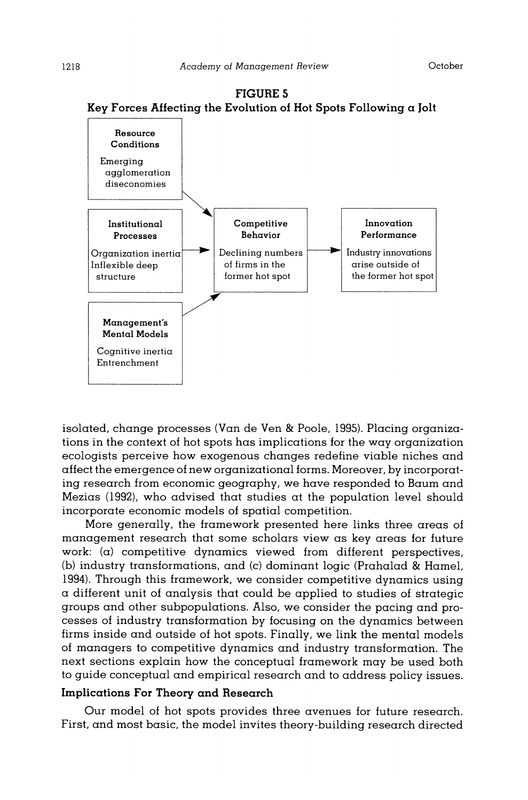

 FIGURE 5 Key Forces Affecting the Evolution of Hot Spots Following  $\alpha$  Jolt

 isolated, change processes (Van de Ven & Poole, 1995). Placing organiza tions in the context of hot spots has implications for the way organization ecologists perceive how exogenous changes redefine viable niches and affect the emergence of new organizational forms. Moreover, by incorporat ing research from economic geography, we have responded to Baum and Mezias (1992), who advised that studies at the population level should incorporate economic models of spatial competition.

 More generally, the framework presented here links three areas of management research that some scholars view as key areas for future work:  $(a)$  competitive dynamics viewed from different perspectives, (b) industry transformations, and (c) dominant logic (Prahalad & Hamel, 1994). Through this framework, we consider competitive dynamics using a different unit of analysis that could be applied to studies of strategic groups and other subpopulations. Also, we consider the pacing and pro cesses of industry transformation by focusing on the dynamics between firms inside and outside of hot spots. Finally, we link the mental models of managers to competitive dynamics and industry transformation. The next sections explain how the conceptual framework may be used both to guide conceptual and empirical research and to address policy issues.

### Implications For Theory and Research

 Our model of hot spots provides three avenues for future research. First, and most basic, the model invites theory-building research directed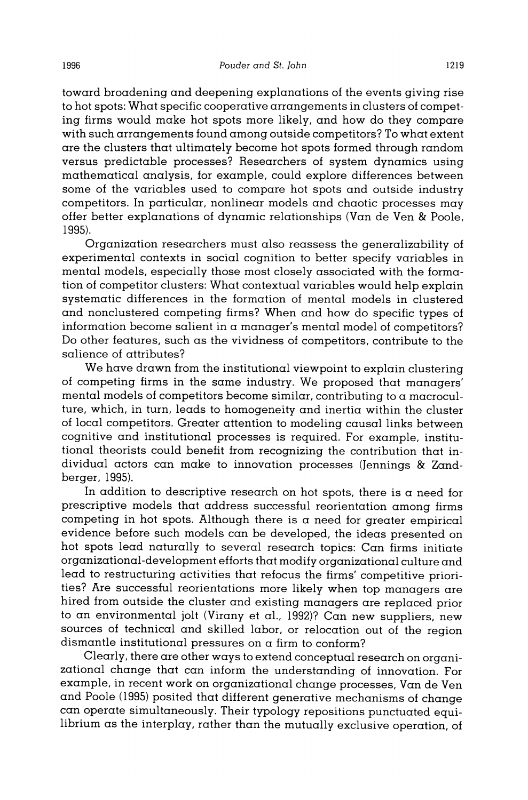toward broadening and deepening explanations of the events giving rise to hot spots: What specific cooperative arrangements in clusters of compet ing firms would make hot spots more likely, and how do they compare with such arrangements found among outside competitors? To what extent are the clusters that ultimately become hot spots formed through random versus predictable processes? Researchers of system dynamics using mathematical analysis, for example, could explore differences between some of the variables used to compare hot spots and outside industry competitors. In particular, nonlinear models and chaotic processes may offer better explanations of dynamic relationships (Van de Ven & Poole, 1995).

 Organization researchers must also reassess the generalizability of experimental contexts in social cognition to better specify variables in mental models, especially those most closely associated with the forma tion of competitor clusters: What contextual variables would help explain systematic differences in the formation of mental models in clustered and nonclustered competing firms? When and how do specific types of information become salient in a manager's mental model of competitors? Do other features, such as the vividness of competitors, contribute to the salience of attributes?

 We have drawn from the institutional viewpoint to explain clustering of competing firms in the same industry. We proposed that managers' mental models of competitors become similar, contributing to a macrocul ture, which, in turn, leads to homogeneity and inertia within the cluster of local competitors. Greater attention to modeling causal links between cognitive and institutional processes is required. For example, institu tional theorists could benefit from recognizing the contribution that in dividual actors can make to innovation processes (Jennings & Zand berger, 1995).

In addition to descriptive research on hot spots, there is a need for prescriptive models that address successful reorientation among firms competing in hot spots. Although there is a need for greater empirical evidence before such models can be developed, the ideas presented on hot spots lead naturally to several research topics: Can firms initiate organizational-development efforts that modify organizational culture and lead to restructuring activities that refocus the firms' competitive priori ties? Are successful reorientations more likely when top managers are hired from outside the cluster and existing managers are replaced prior to an environmental jolt (Virany et al., 1992)? Can new suppliers, new sources of technical and skilled labor, or relocation out of the region dismantle institutional pressures on a firm to conform?

 Clearly, there are other ways to extend conceptual research on organi zational change that can inform the understanding of innovation. For example, in recent work on organizational change processes, Van de Ven and Poole (1995) posited that different generative mechanisms of change can operate simultaneously. Their typology repositions punctuated equi librium as the interplay, rather than the mutually exclusive operation, of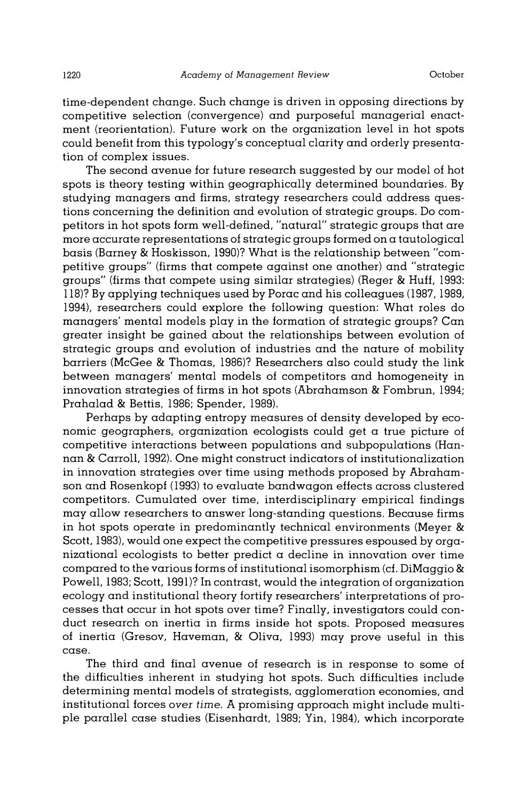time-dependent change. Such change is driven in opposing directions by competitive selection (convergence) and purposeful managerial enact ment (reorientation). Future work on the organization level in hot spots could benefit from this typology's conceptual clarity and orderly presenta tion of complex issues.

 The second avenue for future research suggested by our model of hot spots is theory testing within geographically determined boundaries. By studying managers and firms, strategy researchers could address ques tions concerning the definition and evolution of strategic groups. Do com petitors in hot spots form well-defined, "natural" strategic groups that are more accurate representations of strategic groups formed on a tautological basis (Barney & Hoskisson, 1990)? What is the relationship between "com petitive groups" (firms that compete against one another) and "strategic groups" (firms that compete using similar strategies) (Reger & Huff, 1993: 118)? By applying techniques used by Porac and his colleagues (1987, 1989, 1994), researchers could explore the following question: What roles do managers' mental models play in the formation of strategic groups? Can greater insight be gained about the relationships between evolution of strategic groups and evolution of industries and the nature of mobility barriers (McGee & Thomas, 1986)? Researchers also could study the link between managers' mental models of competitors and homogeneity in innovation strategies of firms in hot spots (Abrahamson & Fombrun, 1994; Prahalad & Bettis, 1986; Spender, 1989).

 Perhaps by adapting entropy measures of density developed by eco nomic geographers, organization ecologists could get a true picture of competitive interactions between populations and subpopulations (Han nan & Carroll, 1992). One might construct indicators of institutionalization in innovation strategies over time using methods proposed by Abraham son and Rosenkopf (1993) to evaluate bandwagon effects across clustered competitors. Cumulated over time, interdisciplinary empirical findings may allow researchers to answer long-standing questions. Because firms in hot spots operate in predominantly technical environments (Meyer & Scott, 1983), would one expect the competitive pressures espoused by orga nizational ecologists to better predict  $\alpha$  decline in innovation over time compared to the various forms of institutional isomorphism (cf. DiMaggio & Powell, 1983; Scott, 1991)? In contrast, would the integration of organization ecology and institutional theory fortify researchers' interpretations of pro cesses that occur in hot spots over time? Finally, investigators could con duct research on inertia in firms inside hot spots. Proposed measures of inertia (Gresov, Haveman, & Oliva, 1993) may prove useful in this case.

 The third and final avenue of research is in response to some of the difficulties inherent in studying hot spots. Such difficulties include determining mental models of strategists, agglomeration economies, and institutional forces over time. A promising approach might include multi ple parallel case studies (Eisenhardt, 1989; Yin, 1984), which incorporate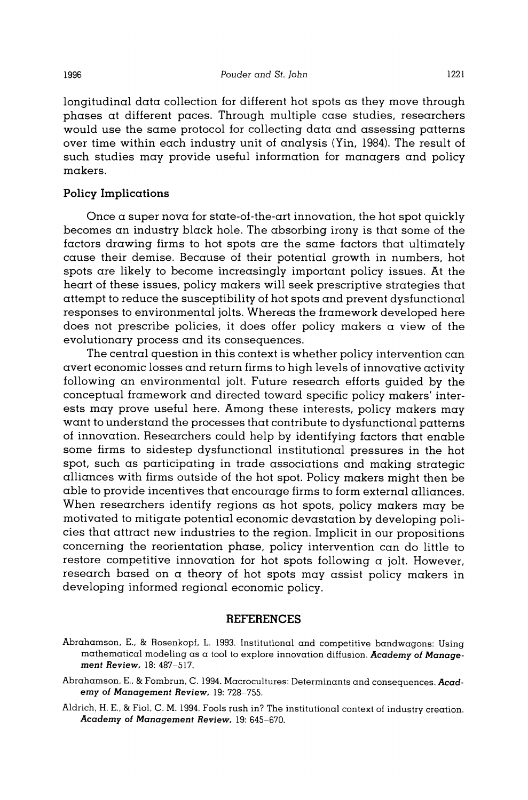longitudinal data collection for different hot spots as they move through phases at different paces. Through multiple case studies, researchers would use the same protocol for collecting data and assessing patterns over time within each industry unit of analysis (Yin, 1984). The result of such studies may provide useful information for managers and policy makers.

### Policy Implications

Once  $\alpha$  super nova for state-of-the-art innovation, the hot spot quickly becomes an industry black hole. The absorbing irony is that some of the factors drawing firms to hot spots are the same factors that ultimately cause their demise. Because of their potential growth in numbers, hot spots are likely to become increasingly important policy issues. At the heart of these issues, policy makers will seek prescriptive strategies that attempt to reduce the susceptibility of hot spots and prevent dysfunctional responses to environmental jolts. Whereas the framework developed here does not prescribe policies, it does offer policy makers a view of the evolutionary process and its consequences.

 The central question in this context is whether policy intervention can avert economic losses and return firms to high levels of innovative activity following an environmental jolt. Future research efforts guided by the conceptual framework and directed toward specific policy makers' inter ests may prove useful here. Among these interests, policy makers may want to understand the processes that contribute to dysfunctional patterns of innovation. Researchers could help by identifying factors that enable some firms to sidestep dysfunctional institutional pressures in the hot spot, such as participating in trade associations and making strategic alliances with firms outside of the hot spot. Policy makers might then be able to provide incentives that encourage firms to form external alliances. When researchers identify regions as hot spots, policy makers may be motivated to mitigate potential economic devastation by developing poli cies that attract new industries to the region. Implicit in our propositions concerning the reorientation phase, policy intervention can do little to restore competitive innovation for hot spots following  $\alpha$  jolt. However, research based on a theory of hot spots may assist policy makers in developing informed regional economic policy.

#### REFERENCES

- Abrahamson, E., & Rosenkopf, L. 1993. Institutional and competitive bandwagons: Using mathematical modeling as a tool to explore innovation diffusion. Academy of Manage ment Review, 18: 487-517.
- Abrahamson, E., & Fombrun, C. 1994. Macrocultures: Determinants and consequences. Acad emy of Management Review, 19: 728-755.
- Aldrich, H. E., & Fiol, C. M. 1994. Fools rush in? The institutional context of industry creation. Academy of Management Review, 19: 645-670.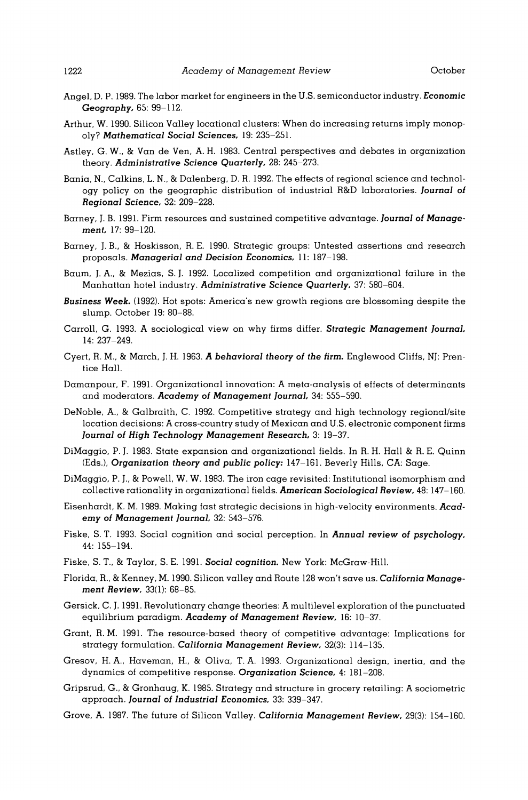- Angel, D. P. 1989. The labor market for engineers in the U.S. semiconductor industry. Economic Geography, 65: 99-112.
- Arthur, W. 1990. Silicon Valley locational clusters: When do increasing returns imply monop oly? Mathematical Social Sciences, 19: 235-251.
- Astley, G. W., & Van de Ven, A. H. 1983. Central perspectives and debates in organization theory. Administrative Science Quarterly, 28: 245-273.
- Bania, N., Calkins, L. N., & Dalenberg, D. R. 1992. The effects of regional science and technol ogy policy on the geographic distribution of industrial R&D laboratories. Journal of Regional Science, 32: 209-228.
- Barney, J. B. 1991. Firm resources and sustained competitive advantage. Journal of Management, 17: 99-120.
- Barney, J. B., & Hoskisson, R. E. 1990. Strategic groups: Untested assertions and research proposals. Managerial and Decision Economics, 11: 187-198.
- Baum, J. A., & Mezias, S. J. 1992. Localized competition and organizational failure in the Manhattan hotel industry. Administrative Science Quarterly, 37: 580-604.
- Business Week. (1992). Hot spots: America's new growth regions are blossoming despite the slump. October 19: 80-88.
- Carroll, G. 1993. A sociological view on why firms differ. Strategic Management Journal, 14: 237-249.
- Cyert, R. M., & March, J. H. 1963. A behavioral theory of the firm. Englewood Cliffs, NJ: Pren tice Hall.
- Damanpour, F. 1991. Organizational innovation: A meta-analysis of effects of determinants and moderators. Academy of Management Journal, 34: 555-590.
- DeNoble, A., & Galbraith, C. 1992. Competitive strategy and high technology regional/site location decisions: A cross-country study of Mexican and U.S. electronic component firms Journal of High Technology Management Research, 3: 19-37.
- DiMaggio, P. J. 1983. State expansion and organizational fields. In R. H. Hall & R. E. Quinn (Eds.), Organization theory and public policy: 147-161. Beverly Hills, CA: Sage.
- DiMaggio, P. J., & Powell, W. W. 1983. The iron cage revisited: Institutional isomorphism and collective rationality in organizational fields. American Sociological Review, 48: 147–160.
- Eisenhardt, K. M. 1989. Making fast strategic decisions in high-velocity environments. Acad emy of Management Journal, 32: 543-576.
- Fiske, S. T. 1993. Social cognition and social perception. In Annual review of psychology, 44: 155-194.
- Fiske, S. T., & Taylor, S. E. 1991. Social cognition. New York: McGraw-Hill.
- Florida, R., & Kenney, M. 1990. Silicon valley and Route 128 won't save us. California Manage ment Review, 33(1): 68-85.
- Gersick, C. J. 1991. Revolutionary change theories: A multilevel exploration of the punctuated equilibrium paradigm. Academy of Management Review, 16: 10-37.
- Grant, R. M. 1991. The resource-based theory of competitive advantage: Implications for strategy formulation. California Management Review, 32(3): 114-135.
- Gresov, H. A., Haveman, H., & Oliva, T. A. 1993. Organizational design, inertia, and the dynamics of competitive response. Organization Science, 4: 181-208.
- Gripsrud, G., & Gronhaug, K. 1985. Strategy and structure in grocery retailing: A sociometric approach. Journal of Industrial Economics, 33: 339-347.
- Grove, A. 1987. The future of Silicon Valley. California Management Review, 29(3): 154-160.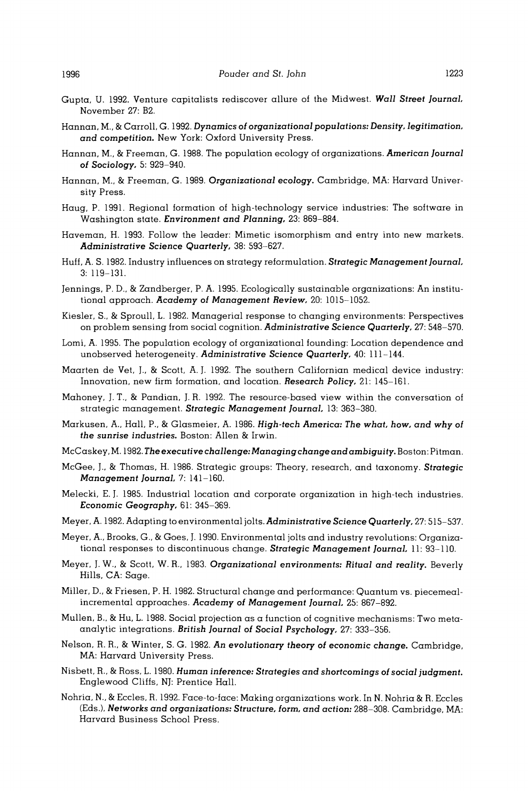- Gupta, U. 1992. Venture capitalists rediscover allure of the Midwest. Wall Street Journal, November 27: B2.
- Hannan, M., & Carroll, G. 1992. Dynamics of organizational populations: Density, legitimation, and competition. New York: Oxford University Press.
- Hannan, M., & Freeman, G. 1988. The population ecology of organizations. American Journal of Sociology, 5: 929-940.
- Hannan, M., & Freeman, G. 1989. Organizational ecology. Cambridge, MA: Harvard University Press.
- Haug, P. 1991. Regional formation of high-technology service industries: The software in Washington state. Environment and Planning, 23: 869-884.
- Haveman, H. 1993. Follow the leader: Mimetic isomorphism and entry into new markets. Administrative Science Quarterly, 38: 593-627.
- Huff, A. S. 1982. Industry influences on strategy reformulation. Strategic Management Journal, 3: 119-131.
- Jennings, P. D., & Zandberger, P. A. 1995. Ecologically sustainable organizations: An institu tional approach. Academy of Management Review, 20: 1015-1052.
- Kiesler, S., & Sproull, L. 1982. Managerial response to changing environments: Perspectives on problem sensing from social cognition. Administrative Science Quarterly, 27: 548-570.
- Lomi, A. 1995. The population ecology of organizational founding: Location dependence and unobserved heterogeneity. Administrative Science Quarterly, 40: 111-144.
- Maarten de Vet, J., & Scott, A. J. 1992. The southern Californian medical device industry: Innovation, new firm formation, and location. Research Policy, 21: 145-161.
- Mahoney, J. T., & Pandian, J. R. 1992. The resource-based view within the conversation of strategic management. Strategic Management Journal, 13: 363-380.
- Markusen, A., Hall, P., & Glasmeier, A. 1986. High-tech America: The what, how, and why of the sunrise industries. Boston: Allen & Irwin.
- McCaskey, M. 1982. The executive challenge: Managing change and ambiguity. Boston: Pitman.
- McGee, J., & Thomas, H. 1986. Strategic groups: Theory, research, and taxonomy. Strategic Management Journal, 7: 141-160.
- Melecki, E. J. 1985. Industrial location and corporate organization in high-tech industries. Economic Geography, 61: 345-369.
- Meyer, A. 1982. Adapting to environmental jolts. Administrative Science Quarterly, 27: 515–537.
- Meyer, A., Brooks, G., & Goes, J. 1990. Environmental jolts and industry revolutions: Organiza tional responses to discontinuous change. Strategic Management Journal, 11: 93-110.
- Meyer, J. W., & Scott, W. R., 1983. Organizational environments: Ritual and reality. Beverly Hills, CA: Sage.
- Miller, D., & Friesen, P. H. 1982. Structural change and performance: Quantum vs. piecemeal incremental approaches. Academy of Management Journal, 25: 867-892.
- Mullen, B., & Hu, L. 1988. Social projection as a function of cognitive mechanisms: Two meta analytic integrations. British Journal of Social Psychology, 27: 333-356.
- Nelson, R. R., & Winter, S. G. 1982. An evolutionary theory of economic change. Cambridge, MA: Harvard University Press.
- Nisbett, R., & Ross, L. 1980. Human inference: Strategies and shortcomings of social judgment. Englewood Cliffs, NJ: Prentice Hall.
- Nohria, N., & Eccles, R. 1992. Face-to-face: Making organizations work. In N. Nohria & R. Eccles (Eds.), Networks and organizations: Structure, form, and action: 288-308. Cambridge, MA: Harvard Business School Press.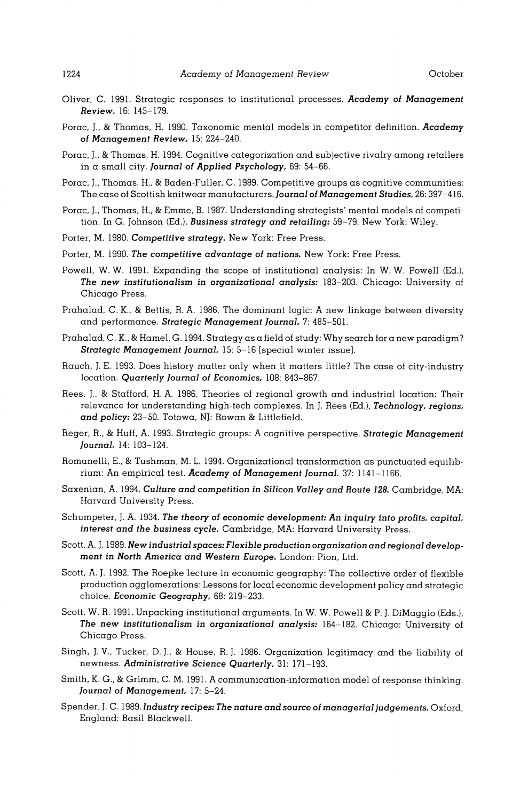- Oliver, C. 1991. Strategic responses to institutional processes. Academy of Management Review, 16: 145-179.
- Porac, J., & Thomas, H. 1990. Taxonomic mental models in competitor definition. Academy of Management Review, 15: 224-240.
- Porac, J., & Thomas, H. 1994. Cognitive categorization and subjective rivalry among retailers in  $\alpha$  small city. Journal of Applied Psychology, 69: 54-66.
- Porac, J., Thomas, H., & Baden-Fuller, C. 1989. Competitive groups as cognitive communities: The case of Scottish knitwear manufacturers. Journal of Management Studies, 26: 397-416.
- Porac, J., Thomas, H., & Emme, B. 1987. Understanding strategists' mental models of competi tion. In G. Johnson (Ed.), Business strategy and retailing: 59-79. New York: Wiley.
- Porter, M. 1980. Competitive strategy. New York: Free Press.
- Porter, M. 1990. The competitive advantage of nations. New York: Free Press.
- Powell, W. W. 1991. Expanding the scope of institutional analysis: In W. W. Powell (Ed.), The new institutionalism in organizational analysis: 183-203. Chicago: University of Chicago Press.
- Prahalad, C. K., & Bettis, R. A. 1986. The dominant logic: A new linkage between diversity and performance. Strategic Management Journal, 7: 485-501.
- Prahalad, C. K., & Hamel, G. 1994. Strategy as a field of study: Why search for a new paradigm? Strategic Management Journal, 15: 5-16 [special winter issue].
- Rauch, J. E. 1993. Does history matter only when it matters little? The case of city-industry location. Quarterly Journal of Economics, 108: 843-867.
- Rees, J., & Stafford, H. A. 1986. Theories of regional growth and industrial location: Their relevance for understanding high-tech complexes. In J. Rees (Ed.), Technology, regions, and policy: 23-50. Totowa, NJ: Rowan & Littlefield.
- Reger, R., & Huff, A. 1993. Strategic groups: A cognitive perspective. Strategic Management Journal, 14: 103-124.
- Romanelli, E., & Tushman, M. L. 1994. Organizational transformation as punctuated equilib rium: An empirical test. Academy of Management Journal, 37: 1141-1166.
- Saxenian, A. 1994. Culture and competition in Silicon Valley and Route 128. Cambridge, MA: Harvard University Press.
- Schumpeter, J. A. 1934. The theory of economic development: An inquiry into profits, capital, interest and the business cycle. Cambridge, MA: Harvard University Press.
- Scott, A. J. 1989. New industrial spaces: Flexible production organization and regional develop ment in North America and Western Europe. London: Pion, Ltd.
- Scott, A. J. 1992. The Roepke lecture in economic geography: The collective order of flexible production agglomerations: Lessons for local economic development policy and strategic choice. Economic Geography, 68: 219-233.
- Scott, W. R. 1991. Unpacking institutional arguments. In W. W. Powell & P. J. DiMaggio (Eds.), The new institutionalism in organizational analysis: 164-182. Chicago: University of Chicago Press.
- Singh, J. V., Tucker, D. J., & House, R. J. 1986. Organization legitimacy and the liability of newness. Administrative Science Quarterly, 31: 171-193.
- Smith, K. G., & Grimm, C. M. 1991. A communication-information model of response thinking. Journal of Management, 17: 5-24.
- Spender, J. C. 1989. Industry recipes: The nature and source of managerial judgements. Oxford, England: Basil Blackwell.